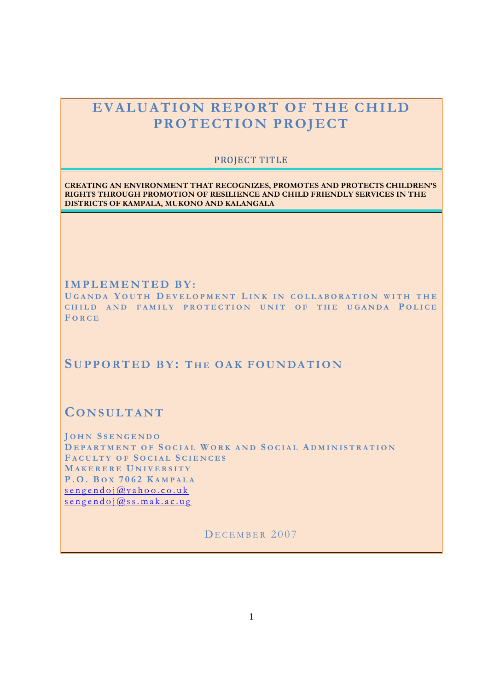# **EVALUATION REPORT OF THE CHILD PROTECTION PROJECT**

## PROJECT TITLE

**CREATING AN ENVIRONMENT THAT RECOGNIZES, PROMOTES AND PROTECTS CHILDREN'S RIGHTS THROUGH PROMOTION OF RESILIENCE AND CHILD FRIENDLY SERVICES IN THE DISTRICTS OF KAMPALA, MUKONO AND KALANGALA**

**I M P L E M E N T E D B Y :**

**U G A N D A Y O U T H D E V E L O P M E N T L I N K I N C O L L A B O R A T I O N W I T H T H E CHILD AND FAMILY PROTECTION UNIT OF THE UGANDA POLICE F O R C E**

## **SU P P O R T E D B Y: T H E O A K F O U N D A T I O N**

## **CO N S U L T A N T**

**J O H N SS E N G E N D O D E P A R T M E N T O F S O C I A L W O R K A N D S O C I A L A D M I N I S T R A T I O N F A C U L T Y O F S O C I A L S C I E N C E S M A K E R E R E U N I V E R S I T Y P . O . B O X 7 0 6 2 K A M P A L A**  $s$  e n g e n d o j  $\omega$  y a h o o . c o . u k  $s$  e n g e n d o j  $\omega$  s s . m a k . a c . u g

DECEMBER 2007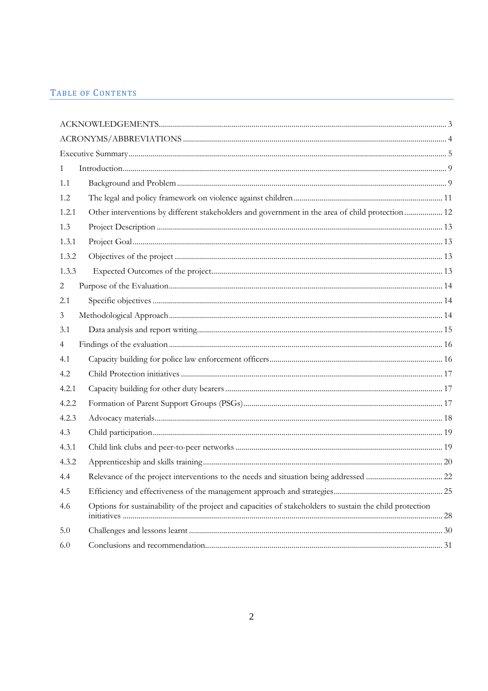## TABLE OF CONTENTS

| $\mathbf{1}$   |                                                                                                          |  |
|----------------|----------------------------------------------------------------------------------------------------------|--|
| 1.1            |                                                                                                          |  |
| 1.2            |                                                                                                          |  |
| 1.2.1          | Other interventions by different stakeholders and government in the area of child protection 12          |  |
| 1.3            |                                                                                                          |  |
| 1.3.1          |                                                                                                          |  |
| 1.3.2          |                                                                                                          |  |
| 1.3.3          |                                                                                                          |  |
| $\overline{c}$ |                                                                                                          |  |
| 2.1            |                                                                                                          |  |
| 3              |                                                                                                          |  |
| 3.1            |                                                                                                          |  |
| 4              |                                                                                                          |  |
| 4.1            |                                                                                                          |  |
| 4.2            |                                                                                                          |  |
| 4.2.1          |                                                                                                          |  |
| 4.2.2          |                                                                                                          |  |
| 4.2.3          |                                                                                                          |  |
| 4.3            |                                                                                                          |  |
| 4.3.1          |                                                                                                          |  |
| 4.3.2          |                                                                                                          |  |
| 4.4            |                                                                                                          |  |
| 4.5            |                                                                                                          |  |
| 4.6            | Options for sustainability of the project and capacities of stakeholders to sustain the child protection |  |
| 5.0            |                                                                                                          |  |
| 6.0            |                                                                                                          |  |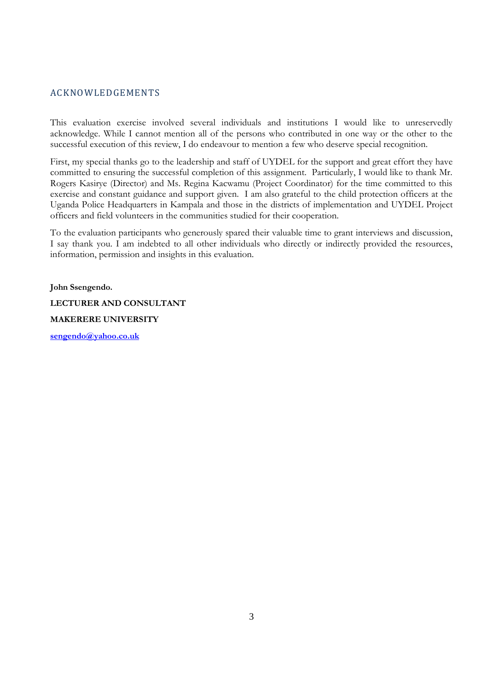## ACKNOWLEDGEMENTS

This evaluation exercise involved several individuals and institutions I would like to unreservedly acknowledge. While I cannot mention all of the persons who contributed in one way or the other to the successful execution of this review, I do endeavour to mention a few who deserve special recognition.

First, my special thanks go to the leadership and staff of UYDEL for the support and great effort they have committed to ensuring the successful completion of this assignment. Particularly, I would like to thank Mr. Rogers Kasirye (Director) and Ms. Regina Kacwamu (Project Coordinator) for the time committed to this exercise and constant guidance and support given. I am also grateful to the child protection officers at the Uganda Police Headquarters in Kampala and those in the districts of implementation and UYDEL Project officers and field volunteers in the communities studied for their cooperation.

To the evaluation participants who generously spared their valuable time to grant interviews and discussion, I say thank you. I am indebted to all other individuals who directly or indirectly provided the resources, information, permission and insights in this evaluation.

**John Ssengendo. LECTURER AND CONSULTANT MAKERERE UNIVERSITY**

**sengendo@yahoo.co.uk**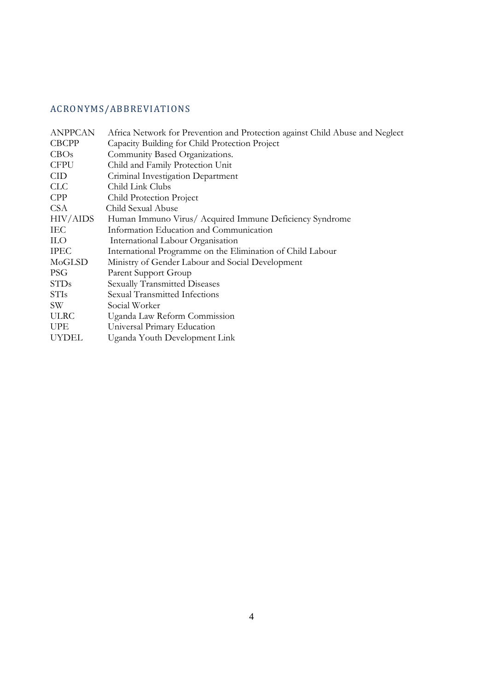## ACRONYMS/ABBREVIATIONS

| <b>ANPPCAN</b>   | Africa Network for Prevention and Protection against Child Abuse and Neglect |
|------------------|------------------------------------------------------------------------------|
| <b>CBCPP</b>     | Capacity Building for Child Protection Project                               |
| CBOs             | Community Based Organizations.                                               |
| <b>CFPU</b>      | Child and Family Protection Unit                                             |
| <b>CID</b>       | Criminal Investigation Department                                            |
| CLC              | Child Link Clubs                                                             |
| <b>CPP</b>       | Child Protection Project                                                     |
| CSA              | Child Sexual Abuse                                                           |
| HIV/AIDS         | Human Immuno Virus/ Acquired Immune Deficiency Syndrome                      |
| IEC.             | Information Education and Communication                                      |
| <b>ILO</b>       | International Labour Organisation                                            |
| <b>IPEC</b>      | International Programme on the Elimination of Child Labour                   |
| MoGLSD           | Ministry of Gender Labour and Social Development                             |
| <b>PSG</b>       | Parent Support Group                                                         |
| <b>STDs</b>      | <b>Sexually Transmitted Diseases</b>                                         |
| <b>STIs</b>      | Sexual Transmitted Infections                                                |
| SW <sup>-1</sup> | Social Worker                                                                |
| <b>ULRC</b>      | Uganda Law Reform Commission                                                 |
| <b>UPE</b>       | Universal Primary Education                                                  |
| <b>UYDEL</b>     | Uganda Youth Development Link                                                |
|                  |                                                                              |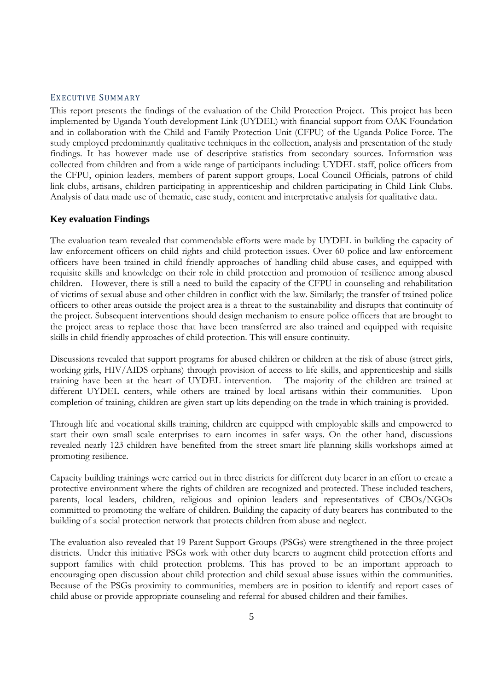#### EXECUTIVE SUMMARY

This report presents the findings of the evaluation of the Child Protection Project. This project has been implemented by Uganda Youth development Link (UYDEL) with financial support from OAK Foundation and in collaboration with the Child and Family Protection Unit (CFPU) of the Uganda Police Force. The study employed predominantly qualitative techniques in the collection, analysis and presentation of the study findings. It has however made use of descriptive statistics from secondary sources. Information was collected from children and from a wide range of participants including: UYDEL staff, police officers from the CFPU, opinion leaders, members of parent support groups, Local Council Officials, patrons of child link clubs, artisans, children participating in apprenticeship and children participating in Child Link Clubs. Analysis of data made use of thematic, case study, content and interpretative analysis for qualitative data.

#### **Key evaluation Findings**

The evaluation team revealed that commendable efforts were made by UYDEL in building the capacity of law enforcement officers on child rights and child protection issues. Over 60 police and law enforcement officers have been trained in child friendly approaches of handling child abuse cases, and equipped with requisite skills and knowledge on their role in child protection and promotion of resilience among abused children. However, there is still a need to build the capacity of the CFPU in counseling and rehabilitation of victims of sexual abuse and other children in conflict with the law. Similarly; the transfer of trained police officers to other areas outside the project area is a threat to the sustainability and disrupts that continuity of the project. Subsequent interventions should design mechanism to ensure police officers that are brought to the project areas to replace those that have been transferred are also trained and equipped with requisite skills in child friendly approaches of child protection. This will ensure continuity.

Discussions revealed that support programs for abused children or children at the risk of abuse (street girls, working girls, HIV/AIDS orphans) through provision of access to life skills, and apprenticeship and skills training have been at the heart of UYDEL intervention. The majority of the children are trained at different UYDEL centers, while others are trained by local artisans within their communities. Upon completion of training, children are given start up kits depending on the trade in which training is provided.

Through life and vocational skills training, children are equipped with employable skills and empowered to start their own small scale enterprises to earn incomes in safer ways. On the other hand, discussions revealed nearly 123 children have benefited from the street smart life planning skills workshops aimed at promoting resilience.

Capacity building trainings were carried out in three districts for different duty bearer in an effort to create a protective environment where the rights of children are recognized and protected. These included teachers, parents, local leaders, children, religious and opinion leaders and representatives of CBOs/NGOs committed to promoting the welfare of children. Building the capacity of duty bearers has contributed to the building of a social protection network that protects children from abuse and neglect.

The evaluation also revealed that 19 Parent Support Groups (PSGs) were strengthened in the three project districts. Under this initiative PSGs work with other duty bearers to augment child protection efforts and support families with child protection problems. This has proved to be an important approach to encouraging open discussion about child protection and child sexual abuse issues within the communities. Because of the PSGs proximity to communities, members are in position to identify and report cases of child abuse or provide appropriate counseling and referral for abused children and their families.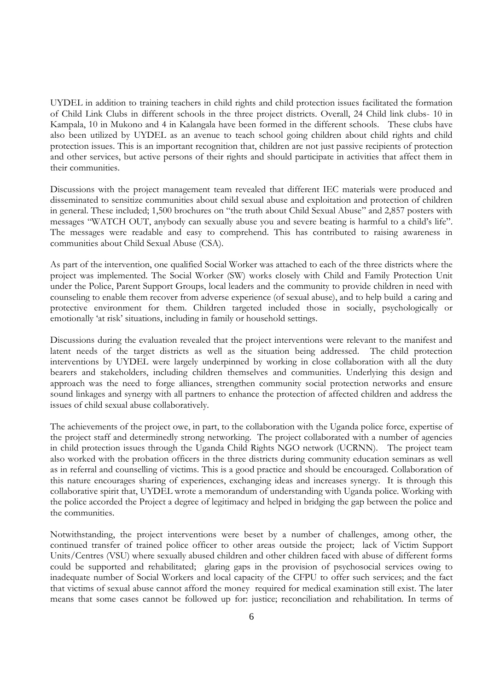UYDEL in addition to training teachers in child rights and child protection issues facilitated the formation of Child Link Clubs in different schools in the three project districts. Overall, 24 Child link clubs- 10 in Kampala, 10 in Mukono and 4 in Kalangala have been formed in the different schools. These clubs have also been utilized by UYDEL as an avenue to teach school going children about child rights and child protection issues. This is an important recognition that, children are not just passive recipients of protection and other services, but active persons of their rights and should participate in activities that affect them in their communities.

Discussions with the project management team revealed that different IEC materials were produced and disseminated to sensitize communities about child sexual abuse and exploitation and protection of children in general. These included; 1,500 brochures on "the truth about Child Sexual Abuse" and 2,857 posters with messages "WATCH OUT, anybody can sexually abuse you and severe beating is harmful to a child's life". The messages were readable and easy to comprehend. This has contributed to raising awareness in communities about Child Sexual Abuse (CSA).

As part of the intervention, one qualified Social Worker was attached to each of the three districts where the project was implemented. The Social Worker (SW) works closely with Child and Family Protection Unit under the Police, Parent Support Groups, local leaders and the community to provide children in need with counseling to enable them recover from adverse experience (of sexual abuse), and to help build a caring and protective environment for them. Children targeted included those in socially, psychologically or emotionally 'at risk' situations, including in family or household settings.

Discussions during the evaluation revealed that the project interventions were relevant to the manifest and latent needs of the target districts as well as the situation being addressed. The child protection interventions by UYDEL were largely underpinned by working in close collaboration with all the duty bearers and stakeholders, including children themselves and communities. Underlying this design and approach was the need to forge alliances, strengthen community social protection networks and ensure sound linkages and synergy with all partners to enhance the protection of affected children and address the issues of child sexual abuse collaboratively.

The achievements of the project owe, in part, to the collaboration with the Uganda police force, expertise of the project staff and determinedly strong networking. The project collaborated with a number of agencies in child protection issues through the Uganda Child Rights NGO network (UCRNN). The project team also worked with the probation officers in the three districts during community education seminars as well as in referral and counselling of victims. This is a good practice and should be encouraged. Collaboration of this nature encourages sharing of experiences, exchanging ideas and increases synergy. It is through this collaborative spirit that, UYDEL wrote a memorandum of understanding with Uganda police. Working with the police accorded the Project a degree of legitimacy and helped in bridging the gap between the police and the communities.

Notwithstanding, the project interventions were beset by a number of challenges, among other, the continued transfer of trained police officer to other areas outside the project; lack of Victim Support Units/Centres (VSU) where sexually abused children and other children faced with abuse of different forms could be supported and rehabilitated; glaring gaps in the provision of psychosocial services owing to inadequate number of Social Workers and local capacity of the CFPU to offer such services; and the fact that victims of sexual abuse cannot afford the money required for medical examination still exist. The later means that some cases cannot be followed up for: justice; reconciliation and rehabilitation. In terms of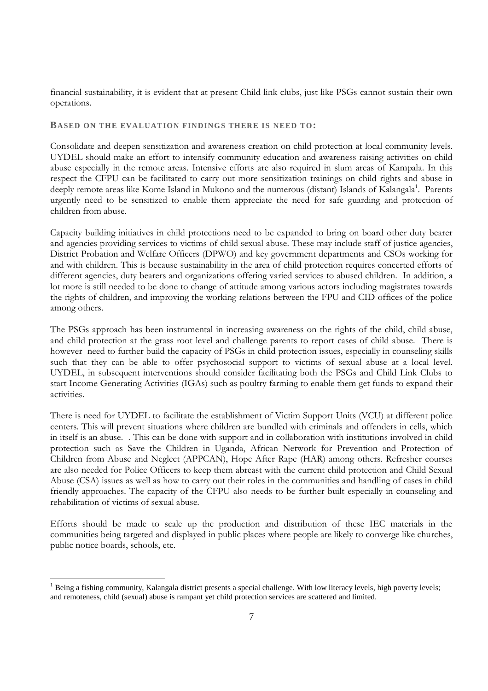financial sustainability, it is evident that at present Child link clubs, just like PSGs cannot sustain their own operations.

#### **BASED ON THE EVALUATION FINDINGS THERE IS NEED TO:**

Consolidate and deepen sensitization and awareness creation on child protection at local community levels. UYDEL should make an effort to intensify community education and awareness raising activities on child abuse especially in the remote areas. Intensive efforts are also required in slum areas of Kampala. In this respect the CFPU can be facilitated to carry out more sensitization trainings on child rights and abuse in deeply remote areas like Kome Island in Mukono and the numerous (distant) Islands of Kalangala<sup>1</sup>. Parents urgently need to be sensitized to enable them appreciate the need for safe guarding and protection of children from abuse.

Capacity building initiatives in child protections need to be expanded to bring on board other duty bearer and agencies providing services to victims of child sexual abuse. These may include staff of justice agencies, District Probation and Welfare Officers (DPWO) and key government departments and CSOs working for and with children. This is because sustainability in the area of child protection requires concerted efforts of different agencies, duty bearers and organizations offering varied services to abused children. In addition, a lot more is still needed to be done to change of attitude among various actors including magistrates towards the rights of children, and improving the working relations between the FPU and CID offices of the police among others.

The PSGs approach has been instrumental in increasing awareness on the rights of the child, child abuse, and child protection at the grass root level and challenge parents to report cases of child abuse. There is however need to further build the capacity of PSGs in child protection issues, especially in counseling skills such that they can be able to offer psychosocial support to victims of sexual abuse at a local level. UYDEL, in subsequent interventions should consider facilitating both the PSGs and Child Link Clubs to start Income Generating Activities (IGAs) such as poultry farming to enable them get funds to expand their activities.

There is need for UYDEL to facilitate the establishment of Victim Support Units (VCU) at different police centers. This will prevent situations where children are bundled with criminals and offenders in cells, which in itself is an abuse. . This can be done with support and in collaboration with institutions involved in child protection such as Save the Children in Uganda, African Network for Prevention and Protection of Children from Abuse and Neglect (APPCAN), Hope After Rape (HAR) among others. Refresher courses are also needed for Police Officers to keep them abreast with the current child protection and Child Sexual Abuse (CSA) issues as well as how to carry out their roles in the communities and handling of cases in child friendly approaches. The capacity of the CFPU also needs to be further built especially in counseling and rehabilitation of victims of sexual abuse.

Efforts should be made to scale up the production and distribution of these IEC materials in the communities being targeted and displayed in public places where people are likely to converge like churches, public notice boards, schools, etc.

 $<sup>1</sup>$  Being a fishing community, Kalangala district presents a special challenge. With low literacy levels, high poverty levels;</sup> and remoteness, child (sexual) abuse is rampant yet child protection services are scattered and limited.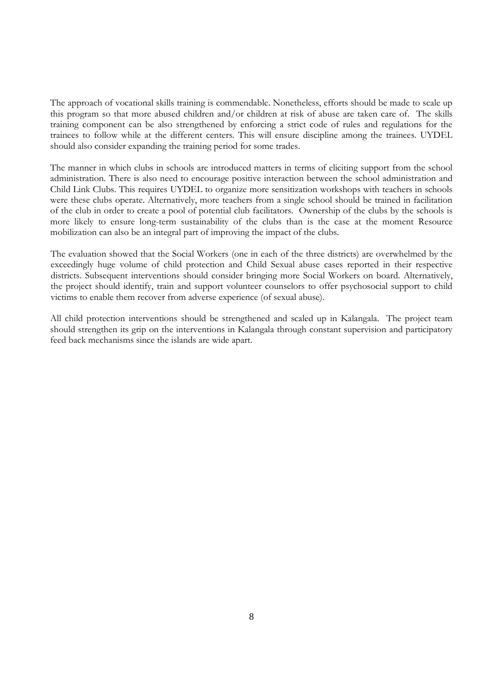The approach of vocational skills training is commendable. Nonetheless, efforts should be made to scale up this program so that more abused children and/or children at risk of abuse are taken care of. The skills training component can be also strengthened by enforcing a strict code of rules and regulations for the trainees to follow while at the different centers. This will ensure discipline among the trainees. UYDEL should also consider expanding the training period for some trades.

The manner in which clubs in schools are introduced matters in terms of eliciting support from the school administration. There is also need to encourage positive interaction between the school administration and Child Link Clubs. This requires UYDEL to organize more sensitization workshops with teachers in schools were these clubs operate. Alternatively, more teachers from a single school should be trained in facilitation of the club in order to create a pool of potential club facilitators. Ownership of the clubs by the schools is more likely to ensure long-term sustainability of the clubs than is the case at the moment Resource mobilization can also be an integral part of improving the impact of the clubs.

The evaluation showed that the Social Workers (one in each of the three districts) are overwhelmed by the exceedingly huge volume of child protection and Child Sexual abuse cases reported in their respective districts. Subsequent interventions should consider bringing more Social Workers on board. Alternatively, the project should identify, train and support volunteer counselors to offer psychosocial support to child victims to enable them recover from adverse experience (of sexual abuse).

All child protection interventions should be strengthened and scaled up in Kalangala. The project team should strengthen its grip on the interventions in Kalangala through constant supervision and participatory feed back mechanisms since the islands are wide apart.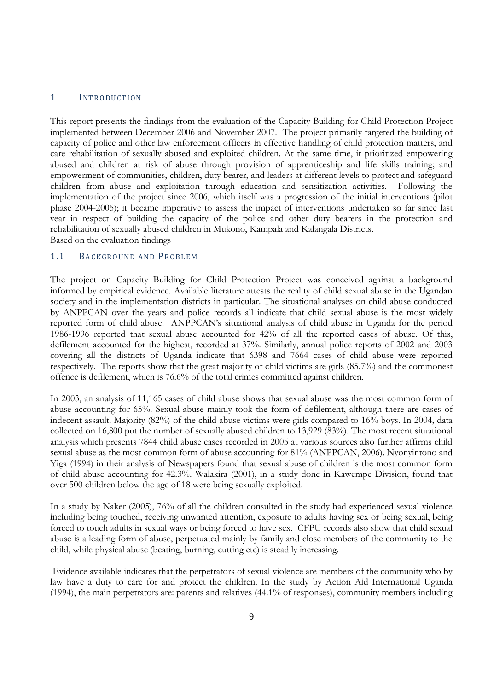#### 1 INTRODUCTION

This report presents the findings from the evaluation of the Capacity Building for Child Protection Project implemented between December 2006 and November 2007. The project primarily targeted the building of capacity of police and other law enforcement officers in effective handling of child protection matters, and care rehabilitation of sexually abused and exploited children. At the same time, it prioritized empowering abused and children at risk of abuse through provision of apprenticeship and life skills training; and empowerment of communities, children, duty bearer, and leaders at different levels to protect and safeguard children from abuse and exploitation through education and sensitization activities. Following the implementation of the project since 2006, which itself was a progression of the initial interventions (pilot phase 2004-2005); it became imperative to assess the impact of interventions undertaken so far since last year in respect of building the capacity of the police and other duty bearers in the protection and rehabilitation of sexually abused children in Mukono, Kampala and Kalangala Districts. Based on the evaluation findings

#### 1.1 BACKGROUND AND PROBLEM

The project on Capacity Building for Child Protection Project was conceived against a background informed by empirical evidence. Available literature attests the reality of child sexual abuse in the Ugandan society and in the implementation districts in particular. The situational analyses on child abuse conducted by ANPPCAN over the years and police records all indicate that child sexual abuse is the most widely reported form of child abuse. ANPPCAN's situational analysis of child abuse in Uganda for the period 1986-1996 reported that sexual abuse accounted for 42% of all the reported cases of abuse. Of this, defilement accounted for the highest, recorded at 37%. Similarly, annual police reports of 2002 and 2003 covering all the districts of Uganda indicate that 6398 and 7664 cases of child abuse were reported respectively. The reports show that the great majority of child victims are girls (85.7%) and the commonest offence is defilement, which is 76.6% of the total crimes committed against children.

In 2003, an analysis of 11,165 cases of child abuse shows that sexual abuse was the most common form of abuse accounting for 65%. Sexual abuse mainly took the form of defilement, although there are cases of indecent assault. Majority (82%) of the child abuse victims were girls compared to 16% boys. In 2004, data collected on 16,800 put the number of sexually abused children to 13,929 (83%). The most recent situational analysis which presents 7844 child abuse cases recorded in 2005 at various sources also further affirms child sexual abuse as the most common form of abuse accounting for 81% (ANPPCAN, 2006). Nyonyintono and Yiga (1994) in their analysis of Newspapers found that sexual abuse of children is the most common form of child abuse accounting for 42.3%. Walakira (2001), in a study done in Kawempe Division, found that over 500 children below the age of 18 were being sexually exploited.

In a study by Naker (2005), 76% of all the children consulted in the study had experienced sexual violence including being touched, receiving unwanted attention, exposure to adults having sex or being sexual, being forced to touch adults in sexual ways or being forced to have sex. CFPU records also show that child sexual abuse is a leading form of abuse, perpetuated mainly by family and close members of the community to the child, while physical abuse (beating, burning, cutting etc) is steadily increasing.

Evidence available indicates that the perpetrators of sexual violence are members of the community who by law have a duty to care for and protect the children. In the study by Action Aid International Uganda (1994), the main perpetrators are: parents and relatives (44.1% of responses), community members including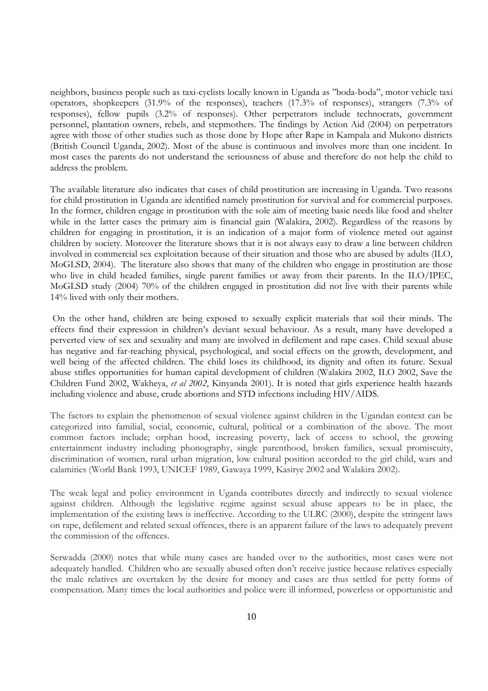neighbors, business people such as taxi-cyclists locally known in Uganda as "boda-boda", motor vehicle taxi operators, shopkeepers (31.9% of the responses), teachers (17.3% of responses), strangers (7.3% of responses), fellow pupils (3.2% of responses). Other perpetrators include technocrats, government personnel, plantation owners, rebels, and stepmothers. The findings by Action Aid (2004) on perpetrators agree with those of other studies such as those done by Hope after Rape in Kampala and Mukono districts (British Council Uganda, 2002). Most of the abuse is continuous and involves more than one incident. In most cases the parents do not understand the seriousness of abuse and therefore do not help the child to address the problem.

The available literature also indicates that cases of child prostitution are increasing in Uganda. Two reasons for child prostitution in Uganda are identified namely prostitution for survival and for commercial purposes. In the former, children engage in prostitution with the sole aim of meeting basic needs like food and shelter while in the latter cases the primary aim is financial gain (Walakira, 2002). Regardless of the reasons by children for engaging in prostitution, it is an indication of a major form of violence meted out against children by society. Moreover the literature shows that it is not always easy to draw a line between children involved in commercial sex exploitation because of their situation and those who are abused by adults (ILO, MoGLSD, 2004). The literature also shows that many of the children who engage in prostitution are those who live in child headed families, single parent families or away from their parents. In the ILO/IPEC, MoGLSD study (2004) 70% of the children engaged in prostitution did not live with their parents while 14% lived with only their mothers.

On the other hand, children are being exposed to sexually explicit materials that soil their minds. The effects find their expression in children's deviant sexual behaviour. As a result, many have developed a perverted view of sex and sexuality and many are involved in defilement and rape cases. Child sexual abuse has negative and far-reaching physical, psychological, and social effects on the growth, development, and well being of the affected children. The child loses its childhood, its dignity and often its future. Sexual abuse stifles opportunities for human capital development of children (Walakira 2002, ILO 2002, Save the Children Fund 2002, Wakheya, *et al 2002*, Kinyanda 2001). It is noted that girls experience health hazards including violence and abuse, crude abortions and STD infections including HIV/AIDS.

The factors to explain the phenomenon of sexual violence against children in the Ugandan context can be categorized into familial, social, economic, cultural, political or a combination of the above. The most common factors include; orphan hood, increasing poverty, lack of access to school, the growing entertainment industry including phonography, single parenthood, broken families, sexual promiscuity, discrimination of women, rural urban migration, low cultural position accorded to the girl child, wars and calamities (World Bank 1993, UNICEF 1989, Gawaya 1999, Kasirye 2002 and Walakira 2002).

The weak legal and policy environment in Uganda contributes directly and indirectly to sexual violence against children. Although the legislative regime against sexual abuse appears to be in place, the implementation of the existing laws is ineffective. According to the ULRC (2000), despite the stringent laws on rape, defilement and related sexual offences, there is an apparent failure of the laws to adequately prevent the commission of the offences.

Serwadda (2000) notes that while many cases are handed over to the authorities, most cases were not adequately handled. Children who are sexually abused often don't receive justice because relatives especially the male relatives are overtaken by the desire for money and cases are thus settled for petty forms of compensation. Many times the local authorities and police were ill informed, powerless or opportunistic and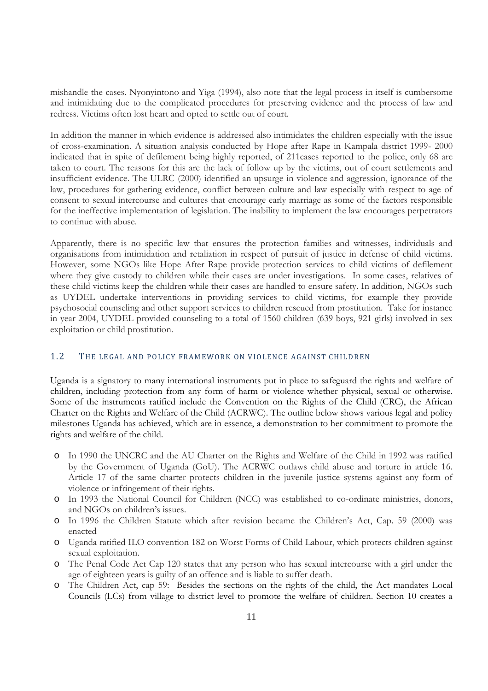mishandle the cases. Nyonyintono and Yiga (1994), also note that the legal process in itself is cumbersome and intimidating due to the complicated procedures for preserving evidence and the process of law and redress. Victims often lost heart and opted to settle out of court.

In addition the manner in which evidence is addressed also intimidates the children especially with the issue of cross-examination. A situation analysis conducted by Hope after Rape in Kampala district 1999- 2000 indicated that in spite of defilement being highly reported, of 211cases reported to the police, only 68 are taken to court. The reasons for this are the lack of follow up by the victims, out of court settlements and insufficient evidence. The ULRC (2000) identified an upsurge in violence and aggression, ignorance of the law, procedures for gathering evidence, conflict between culture and law especially with respect to age of consent to sexual intercourse and cultures that encourage early marriage as some of the factors responsible for the ineffective implementation of legislation. The inability to implement the law encourages perpetrators to continue with abuse.

Apparently, there is no specific law that ensures the protection families and witnesses, individuals and organisations from intimidation and retaliation in respect of pursuit of justice in defense of child victims. However, some NGOs like Hope After Rape provide protection services to child victims of defilement where they give custody to children while their cases are under investigations. In some cases, relatives of these child victims keep the children while their cases are handled to ensure safety. In addition, NGOs such as UYDEL undertake interventions in providing services to child victims, for example they provide psychosocial counseling and other support services to children rescued from prostitution. Take for instance in year 2004, UYDEL provided counseling to a total of 1560 children (639 boys, 921 girls) involved in sex exploitation or child prostitution.

## 1.2 THE LEGAL AND POLICY FRAMEWORK ON VIOLENCE AGAINST CHILDREN

Uganda is a signatory to many international instruments put in place to safeguard the rights and welfare of children, including protection from any form of harm or violence whether physical, sexual or otherwise. Some of the instruments ratified include the Convention on the Rights of the Child (CRC), the African Charter on the Rights and Welfare of the Child (ACRWC). The outline below shows various legal and policy milestones Uganda has achieved, which are in essence, a demonstration to her commitment to promote the rights and welfare of the child.

- o In 1990 the UNCRC and the AU Charter on the Rights and Welfare of the Child in 1992 was ratified by the Government of Uganda (GoU). The ACRWC outlaws child abuse and torture in article 16. Article 17 of the same charter protects children in the juvenile justice systems against any form of violence or infringement of their rights.
- o In 1993 the National Council for Children (NCC) was established to co-ordinate ministries, donors, and NGOs on children's issues.
- o In 1996 the Children Statute which after revision became the Children's Act, Cap. 59 (2000) was enacted
- o Uganda ratified ILO convention 182 on Worst Forms of Child Labour, which protects children against sexual exploitation.
- o The Penal Code Act Cap 120 states that any person who has sexual intercourse with a girl under the age of eighteen years is guilty of an offence and is liable to suffer death.
- o The Children Act, cap 59: Besides the sections on the rights of the child, the Act mandates Local Councils (LCs) from village to district level to promote the welfare of children. Section 10 creates a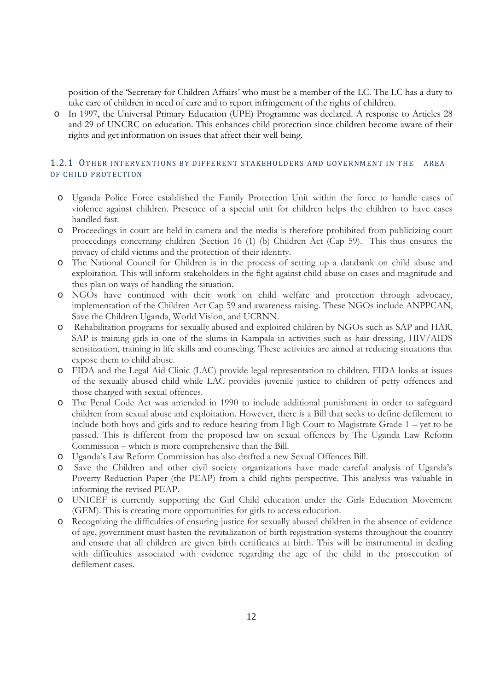position of the 'Secretary for Children Affairs' who must be a member of the LC. The LC has a duty to take care of children in need of care and to report infringement of the rights of children.

o In 1997, the Universal Primary Education (UPE) Programme was declared. A response to Articles 28 and 29 of UNCRC on education. This enhances child protection since children become aware of their rights and get information on issues that affect their well being.

#### 1.2.1 OTHER INTERVENTIONS BY DIFFERENT STAKEHOLDERS AND GOVERNMENT IN THE AREA OF CHILD PROTECTION

- o Uganda Police Force established the Family Protection Unit within the force to handle cases of violence against children. Presence of a special unit for children helps the children to have cases handled fast.
- o Proceedings in court are held in camera and the media is therefore prohibited from publicizing court proceedings concerning children (Section 16 (1) (b) Children Act (Cap 59). This thus ensures the privacy of child victims and the protection of their identity.
- o The National Council for Children is in the process of setting up a databank on child abuse and exploitation. This will inform stakeholders in the fight against child abuse on cases and magnitude and thus plan on ways of handling the situation.
- o NGOs have continued with their work on child welfare and protection through advocacy, implementation of the Children Act Cap 59 and awareness raising. These NGOs include ANPPCAN, Save the Children Uganda, World Vision, and UCRNN.
- Rehabilitation programs for sexually abused and exploited children by NGOs such as SAP and HAR. SAP is training girls in one of the slums in Kampala in activities such as hair dressing, HIV/AIDS sensitization, training in life skills and counseling. These activities are aimed at reducing situations that expose them to child abuse.
- o FIDA and the Legal Aid Clinic (LAC) provide legal representation to children. FIDA looks at issues of the sexually abused child while LAC provides juvenile justice to children of petty offences and those charged with sexual offences.
- o The Penal Code Act was amended in 1990 to include additional punishment in order to safeguard children from sexual abuse and exploitation. However, there is a Bill that seeks to define defilement to include both boys and girls and to reduce hearing from High Court to Magistrate Grade 1 – yet to be passed. This is different from the proposed law on sexual offences by The Uganda Law Reform Commission – which is more comprehensive than the Bill.
- o Uganda's Law Reform Commission has also drafted a new Sexual Offences Bill.
- o Save the Children and other civil society organizations have made careful analysis of Uganda's Poverty Reduction Paper (the PEAP) from a child rights perspective. This analysis was valuable in informing the revised PEAP.
- o UNICEF is currently supporting the Girl Child education under the Girls Education Movement (GEM). This is creating more opportunities for girls to access education.
- o Recognizing the difficulties of ensuring justice for sexually abused children in the absence of evidence of age, government must hasten the revitalization of birth registration systems throughout the country and ensure that all children are given birth certificates at birth. This will be instrumental in dealing with difficulties associated with evidence regarding the age of the child in the prosecution of defilement cases.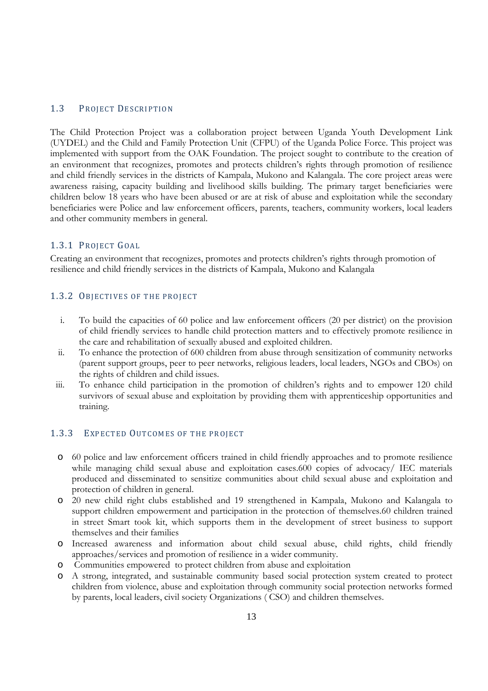#### 1.3 PROJECT DESCRIPTION

The Child Protection Project was a collaboration project between Uganda Youth Development Link (UYDEL) and the Child and Family Protection Unit (CFPU) of the Uganda Police Force. This project was implemented with support from the OAK Foundation. The project sought to contribute to the creation of an environment that recognizes, promotes and protects children's rights through promotion of resilience and child friendly services in the districts of Kampala, Mukono and Kalangala. The core project areas were awareness raising, capacity building and livelihood skills building. The primary target beneficiaries were children below 18 years who have been abused or are at risk of abuse and exploitation while the secondary beneficiaries were Police and law enforcement officers, parents, teachers, community workers, local leaders and other community members in general.

#### 1.3.1 PROJECT GOAL

Creating an environment that recognizes, promotes and protects children's rights through promotion of resilience and child friendly services in the districts of Kampala, Mukono and Kalangala

#### 1.3.2 OBJECTIVES OF THE PROJECT

- i. To build the capacities of 60 police and law enforcement officers (20 per district) on the provision of child friendly services to handle child protection matters and to effectively promote resilience in the care and rehabilitation of sexually abused and exploited children.
- ii. To enhance the protection of 600 children from abuse through sensitization of community networks (parent support groups, peer to peer networks, religious leaders, local leaders, NGOs and CBOs) on the rights of children and child issues.
- iii. To enhance child participation in the promotion of children's rights and to empower 120 child survivors of sexual abuse and exploitation by providing them with apprenticeship opportunities and training.

#### 1.3.3 EXPECTED OUTCOMES OF THE PROJECT

- o 60 police and law enforcement officers trained in child friendly approaches and to promote resilience while managing child sexual abuse and exploitation cases.600 copies of advocacy/ IEC materials produced and disseminated to sensitize communities about child sexual abuse and exploitation and protection of children in general.
- o 20 new child right clubs established and 19 strengthened in Kampala, Mukono and Kalangala to support children empowerment and participation in the protection of themselves.60 children trained in street Smart took kit, which supports them in the development of street business to support themselves and their families
- o Increased awareness and information about child sexual abuse, child rights, child friendly approaches/services and promotion of resilience in a wider community.
- o Communities empowered to protect children from abuse and exploitation
- o A strong, integrated, and sustainable community based social protection system created to protect children from violence, abuse and exploitation through community social protection networks formed by parents, local leaders, civil society Organizations ( CSO) and children themselves.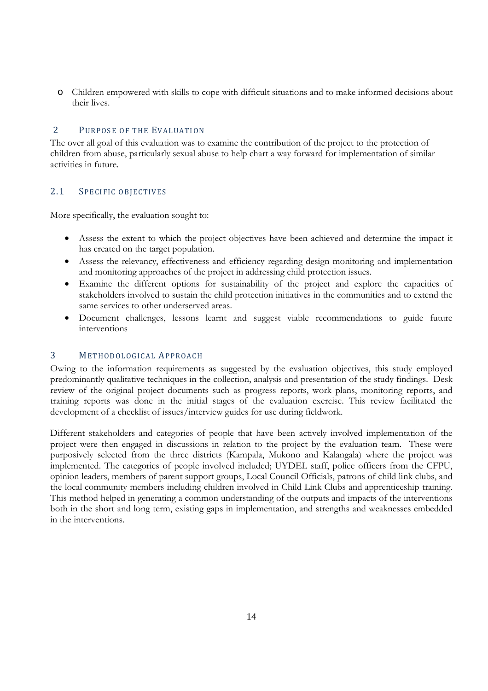o Children empowered with skills to cope with difficult situations and to make informed decisions about their lives.

### 2 PURPOSE OF THE EVALUATION

The over all goal of this evaluation was to examine the contribution of the project to the protection of children from abuse, particularly sexual abuse to help chart a way forward for implementation of similar activities in future.

### 2.1 SPECIFIC OBIECTIVES

More specifically, the evaluation sought to:

- Assess the extent to which the project objectives have been achieved and determine the impact it has created on the target population.
- Assess the relevancy, effectiveness and efficiency regarding design monitoring and implementation and monitoring approaches of the project in addressing child protection issues.
- Examine the different options for sustainability of the project and explore the capacities of stakeholders involved to sustain the child protection initiatives in the communities and to extend the same services to other underserved areas.
- Document challenges, lessons learnt and suggest viable recommendations to guide future interventions

#### 3 METHODOLOGICAL APPROACH

Owing to the information requirements as suggested by the evaluation objectives, this study employed predominantly qualitative techniques in the collection, analysis and presentation of the study findings. Desk review of the original project documents such as progress reports, work plans, monitoring reports, and training reports was done in the initial stages of the evaluation exercise. This review facilitated the development of a checklist of issues/interview guides for use during fieldwork.

Different stakeholders and categories of people that have been actively involved implementation of the project were then engaged in discussions in relation to the project by the evaluation team. These were purposively selected from the three districts (Kampala, Mukono and Kalangala) where the project was implemented. The categories of people involved included; UYDEL staff, police officers from the CFPU, opinion leaders, members of parent support groups, Local Council Officials, patrons of child link clubs, and the local community members including children involved in Child Link Clubs and apprenticeship training. This method helped in generating a common understanding of the outputs and impacts of the interventions both in the short and long term, existing gaps in implementation, and strengths and weaknesses embedded in the interventions.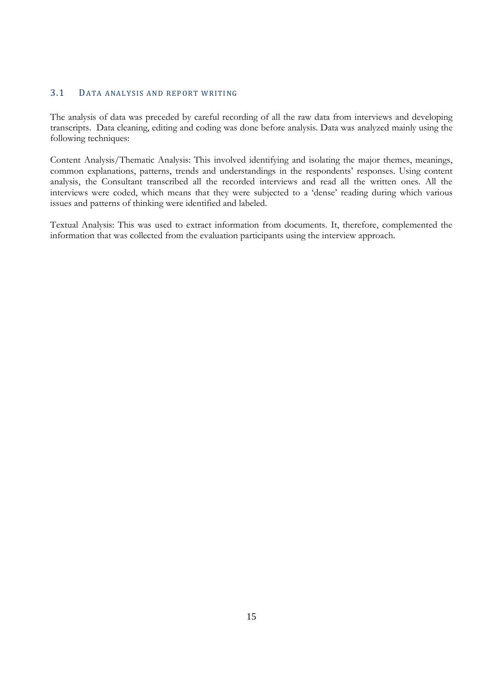## 3.1 DATA ANALYSIS AND REPORT WRITING

The analysis of data was preceded by careful recording of all the raw data from interviews and developing transcripts. Data cleaning, editing and coding was done before analysis. Data was analyzed mainly using the following techniques:

Content Analysis/Thematic Analysis: This involved identifying and isolating the major themes, meanings, common explanations, patterns, trends and understandings in the respondents' responses. Using content analysis, the Consultant transcribed all the recorded interviews and read all the written ones. All the interviews were coded, which means that they were subjected to a 'dense' reading during which various issues and patterns of thinking were identified and labeled.

Textual Analysis: This was used to extract information from documents. It, therefore, complemented the information that was collected from the evaluation participants using the interview approach.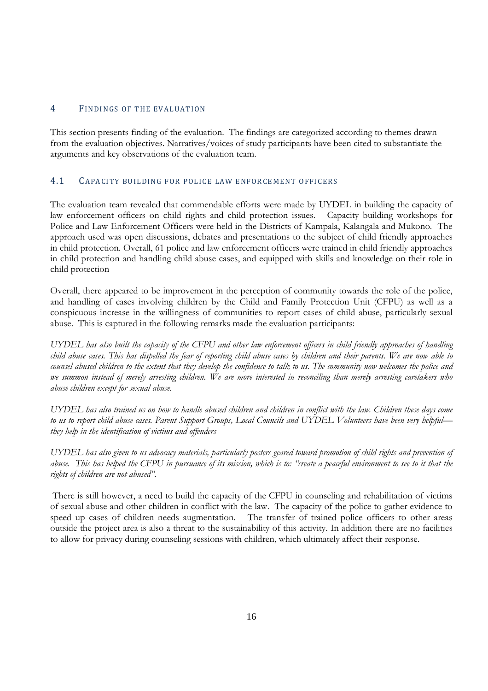### 4 FINDINGS OF THE EVALUATION

This section presents finding of the evaluation. The findings are categorized according to themes drawn from the evaluation objectives. Narratives/voices of study participants have been cited to substantiate the arguments and key observations of the evaluation team.

### 4.1 CAPACITY BUILDING FOR POLICE LAW ENFORCEMENT OFFICERS

The evaluation team revealed that commendable efforts were made by UYDEL in building the capacity of law enforcement officers on child rights and child protection issues. Capacity building workshops for Police and Law Enforcement Officers were held in the Districts of Kampala, Kalangala and Mukono. The approach used was open discussions, debates and presentations to the subject of child friendly approaches in child protection. Overall, 61 police and law enforcement officers were trained in child friendly approaches in child protection and handling child abuse cases, and equipped with skills and knowledge on their role in child protection

Overall, there appeared to be improvement in the perception of community towards the role of the police, and handling of cases involving children by the Child and Family Protection Unit (CFPU) as well as a conspicuous increase in the willingness of communities to report cases of child abuse, particularly sexual abuse. This is captured in the following remarks made the evaluation participants:

*UYDEL has also built the capacity of the CFPU and other law enforcement officers in child friendly approaches of handling child abuse cases. This has dispelled the fear of reporting child abuse cases by children and their parents. We are now able to counsel abused children to the extent that they develop the confidence to talk to us. The community now welcomes the police and we summon instead of merely arresting children. We are more interested in reconciling than merely arresting caretakers who abuse children except for sexual abuse.*

*UYDEL has also trained us on how to handle abused children and children in conflict with the law. Children these days come to us to report child abuse cases. Parent Support Groups, Local Councils and UYDEL Volunteers have been very helpful they help in the identification of victims and offenders*

*UYDEL has also given to us advocacy materials, particularly posters geared toward promotion of child rights and prevention of abuse. This has helped the CFPU in pursuance of its mission, which is to: "create a peaceful environment to see to it that the rights of children are not abused".*

There is still however, a need to build the capacity of the CFPU in counseling and rehabilitation of victims of sexual abuse and other children in conflict with the law. The capacity of the police to gather evidence to speed up cases of children needs augmentation. The transfer of trained police officers to other areas outside the project area is also a threat to the sustainability of this activity. In addition there are no facilities to allow for privacy during counseling sessions with children, which ultimately affect their response.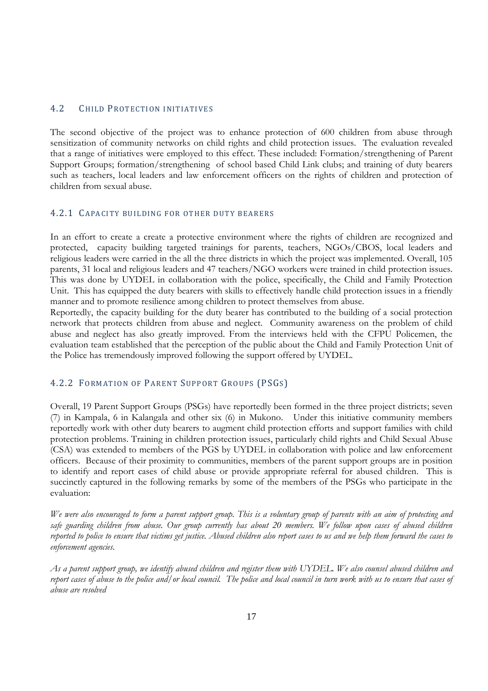#### 4.2 CHILD PROTECTION INITIATIVES

The second objective of the project was to enhance protection of 600 children from abuse through sensitization of community networks on child rights and child protection issues. The evaluation revealed that a range of initiatives were employed to this effect. These included: Formation/strengthening of Parent Support Groups; formation/strengthening of school based Child Link clubs; and training of duty bearers such as teachers, local leaders and law enforcement officers on the rights of children and protection of children from sexual abuse.

#### 4.2.1 CAPACITY BUILDING FOR OTHER DUTY BEARERS

In an effort to create a create a protective environment where the rights of children are recognized and protected, capacity building targeted trainings for parents, teachers, NGOs/CBOS, local leaders and religious leaders were carried in the all the three districts in which the project was implemented. Overall, 105 parents, 31 local and religious leaders and 47 teachers/NGO workers were trained in child protection issues. This was done by UYDEL in collaboration with the police, specifically, the Child and Family Protection Unit. This has equipped the duty bearers with skills to effectively handle child protection issues in a friendly manner and to promote resilience among children to protect themselves from abuse.

Reportedly, the capacity building for the duty bearer has contributed to the building of a social protection network that protects children from abuse and neglect. Community awareness on the problem of child abuse and neglect has also greatly improved. From the interviews held with the CFPU Policemen, the evaluation team established that the perception of the public about the Child and Family Protection Unit of the Police has tremendously improved following the support offered by UYDEL.

#### 4.2.2 FORMATION OF PARENT SUPPORT GROUPS (PSGS)

Overall, 19 Parent Support Groups (PSGs) have reportedly been formed in the three project districts; seven (7) in Kampala, 6 in Kalangala and other six (6) in Mukono. Under this initiative community members reportedly work with other duty bearers to augment child protection efforts and support families with child protection problems. Training in children protection issues, particularly child rights and Child Sexual Abuse (CSA) was extended to members of the PGS by UYDEL in collaboration with police and law enforcement officers. Because of their proximity to communities, members of the parent support groups are in position to identify and report cases of child abuse or provide appropriate referral for abused children. This is succinctly captured in the following remarks by some of the members of the PSGs who participate in the evaluation:

*We were also encouraged to form a parent support group. This is a voluntary group of parents with an aim of protecting and safe guarding children from abuse. Our group currently has about 20 members. We follow upon cases of abused children reported to police to ensure that victims get justice. Abused children also report cases to us and we help them forward the cases to enforcement agencies.*

*As a parent support group, we identify abused children and register them with UYDEL. We also counsel abused children and report cases of abuse to the police and/or local council. The police and local council in turn work with us to ensure that cases of abuse are resolved*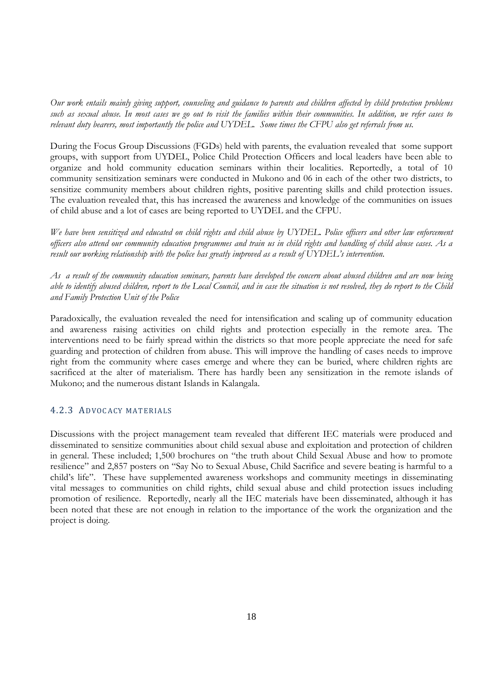*Our work entails mainly giving support, counseling and guidance to parents and children affected by child protection problems such as sexual abuse. In most cases we go out to visit the families within their communities. In addition, we refer cases to relevant duty bearers, most importantly the police and UYDEL. Some times the CFPU also get referrals from us.*

During the Focus Group Discussions (FGDs) held with parents, the evaluation revealed that some support groups, with support from UYDEL, Police Child Protection Officers and local leaders have been able to organize and hold community education seminars within their localities. Reportedly, a total of 10 community sensitization seminars were conducted in Mukono and 06 in each of the other two districts, to sensitize community members about children rights, positive parenting skills and child protection issues. The evaluation revealed that, this has increased the awareness and knowledge of the communities on issues of child abuse and a lot of cases are being reported to UYDEL and the CFPU.

*We have been sensitized and educated on child rights and child abuse by UYDEL. Police officers and other law enforcement officers also attend our community education programmes and train us in child rights and handling of child abuse cases. As a result our working relationship with the police has greatly improved as a result of UYDEL's intervention.*

*As a result of the community education seminars, parents have developed the concern about abused children and are now being able to identify abused children, report to the Local Council, and in case the situation is not resolved, they do report to the Child and Family Protection Unit of the Police*

Paradoxically, the evaluation revealed the need for intensification and scaling up of community education and awareness raising activities on child rights and protection especially in the remote area. The interventions need to be fairly spread within the districts so that more people appreciate the need for safe guarding and protection of children from abuse. This will improve the handling of cases needs to improve right from the community where cases emerge and where they can be buried, where children rights are sacrificed at the alter of materialism. There has hardly been any sensitization in the remote islands of Mukono; and the numerous distant Islands in Kalangala.

#### 4.2.3 ADVOCACY MATERIALS

Discussions with the project management team revealed that different IEC materials were produced and disseminated to sensitize communities about child sexual abuse and exploitation and protection of children in general. These included; 1,500 brochures on "the truth about Child Sexual Abuse and how to promote resilience" and 2,857 posters on "Say No to Sexual Abuse, Child Sacrifice and severe beating is harmful to a child's life". These have supplemented awareness workshops and community meetings in disseminating vital messages to communities on child rights, child sexual abuse and child protection issues including promotion of resilience. Reportedly, nearly all the IEC materials have been disseminated, although it has been noted that these are not enough in relation to the importance of the work the organization and the project is doing.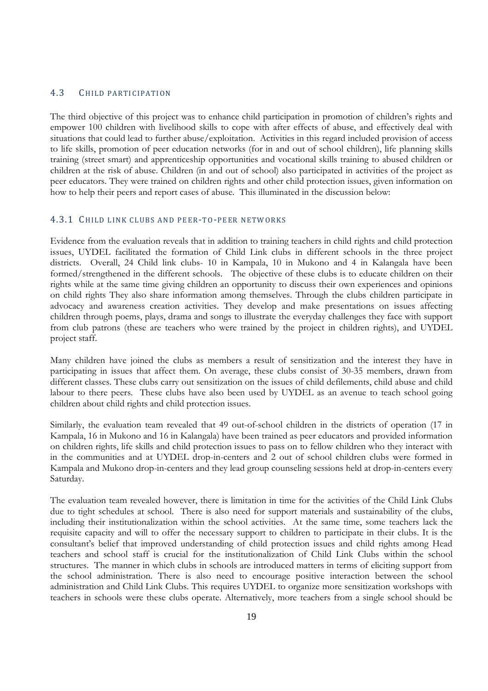#### 4.3 CHILD PARTICIPATION

The third objective of this project was to enhance child participation in promotion of children's rights and empower 100 children with livelihood skills to cope with after effects of abuse, and effectively deal with situations that could lead to further abuse/exploitation. Activities in this regard included provision of access to life skills, promotion of peer education networks (for in and out of school children), life planning skills training (street smart) and apprenticeship opportunities and vocational skills training to abused children or children at the risk of abuse. Children (in and out of school) also participated in activities of the project as peer educators. They were trained on children rights and other child protection issues, given information on how to help their peers and report cases of abuse. This illuminated in the discussion below:

#### 4.3.1 CHILD LINK CLUBS AND PEER-TO-PEER NETWORKS

Evidence from the evaluation reveals that in addition to training teachers in child rights and child protection issues, UYDEL facilitated the formation of Child Link clubs in different schools in the three project districts. Overall, 24 Child link clubs- 10 in Kampala, 10 in Mukono and 4 in Kalangala have been formed/strengthened in the different schools. The objective of these clubs is to educate children on their rights while at the same time giving children an opportunity to discuss their own experiences and opinions on child rights They also share information among themselves. Through the clubs children participate in advocacy and awareness creation activities. They develop and make presentations on issues affecting children through poems, plays, drama and songs to illustrate the everyday challenges they face with support from club patrons (these are teachers who were trained by the project in children rights), and UYDEL project staff.

Many children have joined the clubs as members a result of sensitization and the interest they have in participating in issues that affect them. On average, these clubs consist of 30-35 members, drawn from different classes. These clubs carry out sensitization on the issues of child defilements, child abuse and child labour to there peers. These clubs have also been used by UYDEL as an avenue to teach school going children about child rights and child protection issues.

Similarly, the evaluation team revealed that 49 out-of-school children in the districts of operation (17 in Kampala, 16 in Mukono and 16 in Kalangala) have been trained as peer educators and provided information on children rights, life skills and child protection issues to pass on to fellow children who they interact with in the communities and at UYDEL drop-in-centers and 2 out of school children clubs were formed in Kampala and Mukono drop-in-centers and they lead group counseling sessions held at drop-in-centers every Saturday.

The evaluation team revealed however, there is limitation in time for the activities of the Child Link Clubs due to tight schedules at school. There is also need for support materials and sustainability of the clubs, including their institutionalization within the school activities. At the same time, some teachers lack the requisite capacity and will to offer the necessary support to children to participate in their clubs. It is the consultant's belief that improved understanding of child protection issues and child rights among Head teachers and school staff is crucial for the institutionalization of Child Link Clubs within the school structures. The manner in which clubs in schools are introduced matters in terms of eliciting support from the school administration. There is also need to encourage positive interaction between the school administration and Child Link Clubs. This requires UYDEL to organize more sensitization workshops with teachers in schools were these clubs operate. Alternatively, more teachers from a single school should be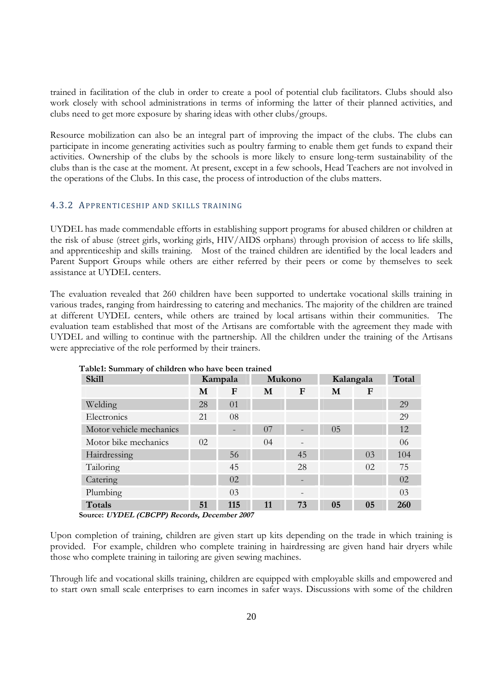trained in facilitation of the club in order to create a pool of potential club facilitators. Clubs should also work closely with school administrations in terms of informing the latter of their planned activities, and clubs need to get more exposure by sharing ideas with other clubs/groups.

Resource mobilization can also be an integral part of improving the impact of the clubs. The clubs can participate in income generating activities such as poultry farming to enable them get funds to expand their activities. Ownership of the clubs by the schools is more likely to ensure long-term sustainability of the clubs than is the case at the moment. At present, except in a few schools, Head Teachers are not involved in the operations of the Clubs. In this case, the process of introduction of the clubs matters.

#### 4.3.2 APPRENTICESHIP AND SKILLS TRAINING

UYDEL has made commendable efforts in establishing support programs for abused children or children at the risk of abuse (street girls, working girls, HIV/AIDS orphans) through provision of access to life skills, and apprenticeship and skills training. Most of the trained children are identified by the local leaders and Parent Support Groups while others are either referred by their peers or come by themselves to seek assistance at UYDEL centers.

The evaluation revealed that 260 children have been supported to undertake vocational skills training in various trades, ranging from hairdressing to catering and mechanics. The majority of the children are trained at different UYDEL centers, while others are trained by local artisans within their communities. The evaluation team established that most of the Artisans are comfortable with the agreement they made with UYDEL and willing to continue with the partnership. All the children under the training of the Artisans were appreciative of the role performed by their trainers.

| <b>Skill</b>            | Kampala |     | Mukono |                              | Kalangala |    | Total |
|-------------------------|---------|-----|--------|------------------------------|-----------|----|-------|
|                         | M       | F   | M      | F                            | M         | F  |       |
| Welding                 | 28      | 01  |        |                              |           |    | 29    |
| Electronics             | 21      | 08  |        |                              |           |    | 29    |
| Motor vehicle mechanics |         |     | 07     |                              | 05        |    | 12    |
| Motor bike mechanics    | 02      |     | 04     | $\overline{\phantom{a}}$     |           |    | 06    |
| Hairdressing            |         | 56  |        | 45                           |           | 03 | 104   |
| Tailoring               |         | 45  |        | 28                           |           | 02 | 75    |
| Catering                |         | 02  |        | -                            |           |    | 02    |
| Plumbing                |         | 03  |        | $\qquad \qquad \blacksquare$ |           |    | 03    |
| Totals                  | 51      | 115 | 11     | 73                           | 05        | 05 | 260   |

| Table1: Summary of children who have been trained |  |
|---------------------------------------------------|--|
|---------------------------------------------------|--|

**Source: UYDEL (CBCPP) Records, December <sup>2007</sup>**

Upon completion of training, children are given start up kits depending on the trade in which training is provided. For example, children who complete training in hairdressing are given hand hair dryers while those who complete training in tailoring are given sewing machines.

Through life and vocational skills training, children are equipped with employable skills and empowered and to start own small scale enterprises to earn incomes in safer ways. Discussions with some of the children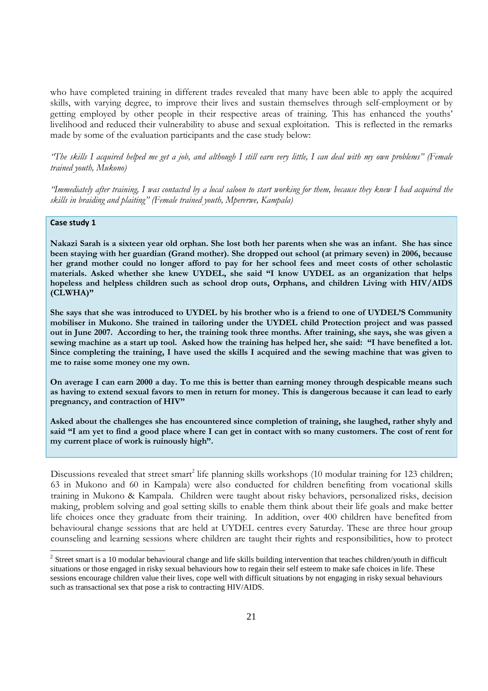who have completed training in different trades revealed that many have been able to apply the acquired skills, with varying degree, to improve their lives and sustain themselves through self-employment or by getting employed by other people in their respective areas of training. This has enhanced the youths' livelihood and reduced their vulnerability to abuse and sexual exploitation. This is reflected in the remarks made by some of the evaluation participants and the case study below:

*"The skills I acquired helped me get a job, and although I still earn very little, I can deal with my own problems" (Female trained youth, Mukono)*

*"Immediately after training, I was contacted by a local saloon to start working for them, because they knew I had acquired the skills in braiding and plaiting" (Female trained youth, Mpererwe, Kampala)*

#### **Case study 1**

**Nakazi Sarah is a sixteen year old orphan. She lost both her parents when she was an infant. She has since been staying with her guardian (Grand mother). She dropped out school (at primary seven) in 2006, because her grand mother could no longer afford to pay for her school fees and meet costs of other scholastic materials. Asked whether she knew UYDEL, she said "I know UYDEL as an organization that helps hopeless and helpless children such as school drop outs, Orphans, and children Living with HIV/AIDS (CLWHA)"**

**She says that she was introduced to UYDEL by his brother who is a friend to one of UYDEL'S Community mobiliser in Mukono. She trained in tailoring under the UYDEL child Protection project and was passed out in June 2007. According to her, the training took three months. After training, she says, she was given a sewing machine as a start up tool. Asked how the training has helped her, she said: "I have benefited a lot. Since completing the training, I have used the skills I acquired and the sewing machine that was given to me to raise some money one my own.**

**On average I can earn 2000 a day. To me this is better than earning money through despicable means such as having to extend sexual favors to men in return for money. This is dangerous because it can lead to early pregnancy, and contraction of HIV"**

**Asked about the challenges she has encountered since completion of training, she laughed, rather shyly and said "I am yet to find a good place where I can get in contact with so many customers. The cost of rent for my current place of work is ruinously high".**

Discussions revealed that street smart<sup>2</sup> life planning skills workshops (10 modular training for 123 children; 63 in Mukono and 60 in Kampala) were also conducted for children benefiting from vocational skills training in Mukono & Kampala. Children were taught about risky behaviors, personalized risks, decision making, problem solving and goal setting skills to enable them think about their life goals and make better life choices once they graduate from their training. In addition, over 400 children have benefited from behavioural change sessions that are held at UYDEL centres every Saturday. These are three hour group counseling and learning sessions where children are taught their rights and responsibilities, how to protect

<sup>&</sup>lt;sup>2</sup> Street smart is a 10 modular behavioural change and life skills building intervention that teaches children/youth in difficult situations or those engaged in risky sexual behaviours how to regain their self esteem to make safe choices in life. These sessions encourage children value their lives, cope well with difficult situations by not engaging in risky sexual behaviours such as transactional sex that pose a risk to contracting HIV/AIDS.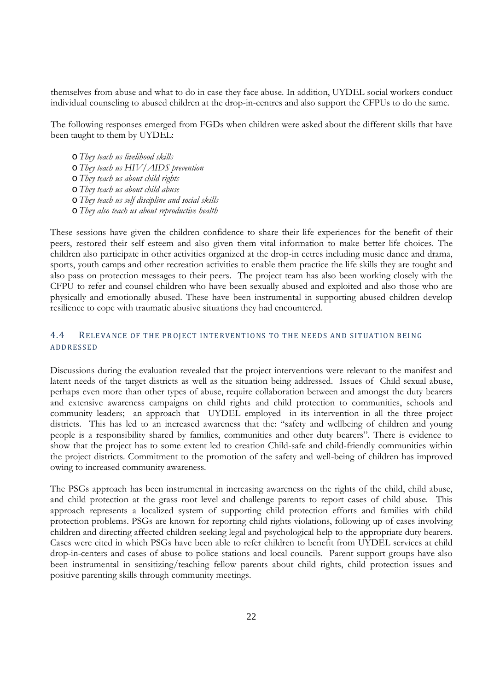themselves from abuse and what to do in case they face abuse. In addition, UYDEL social workers conduct individual counseling to abused children at the drop-in-centres and also support the CFPUs to do the same.

The following responses emerged from FGDs when children were asked about the different skills that have been taught to them by UYDEL:

o *They teach us livelihood skills* o *They teach us HIV/AIDS prevention* o *They teach us about child rights* o *They teach us about child abuse* o *They teach us self discipline and social skills* o *They also teach us about reproductive health*

These sessions have given the children confidence to share their life experiences for the benefit of their peers, restored their self esteem and also given them vital information to make better life choices. The children also participate in other activities organized at the drop-in cetres including music dance and drama, sports, youth camps and other recreation activities to enable them practice the life skills they are tought and also pass on protection messages to their peers. The project team has also been working closely with the CFPU to refer and counsel children who have been sexually abused and exploited and also those who are physically and emotionally abused. These have been instrumental in supporting abused children develop resilience to cope with traumatic abusive situations they had encountered.

## 4.4 RELEVANCE OF THE PROJECT INTERVENTIONS TO THE NEEDS AND SITUATION BEING **ADDRESSED**

Discussions during the evaluation revealed that the project interventions were relevant to the manifest and latent needs of the target districts as well as the situation being addressed. Issues of Child sexual abuse, perhaps even more than other types of abuse, require collaboration between and amongst the duty bearers and extensive awareness campaigns on child rights and child protection to communities, schools and community leaders; an approach that UYDEL employed in its intervention in all the three project districts. This has led to an increased awareness that the: "safety and wellbeing of children and young people is a responsibility shared by families, communities and other duty bearers". There is evidence to show that the project has to some extent led to creation Child-safe and child-friendly communities within the project districts. Commitment to the promotion of the safety and well-being of children has improved owing to increased community awareness.

The PSGs approach has been instrumental in increasing awareness on the rights of the child, child abuse, and child protection at the grass root level and challenge parents to report cases of child abuse. This approach represents a localized system of supporting child protection efforts and families with child protection problems. PSGs are known for reporting child rights violations, following up of cases involving children and directing affected children seeking legal and psychological help to the appropriate duty bearers. Cases were cited in which PSGs have been able to refer children to benefit from UYDEL services at child drop-in-centers and cases of abuse to police stations and local councils. Parent support groups have also been instrumental in sensitizing/teaching fellow parents about child rights, child protection issues and positive parenting skills through community meetings.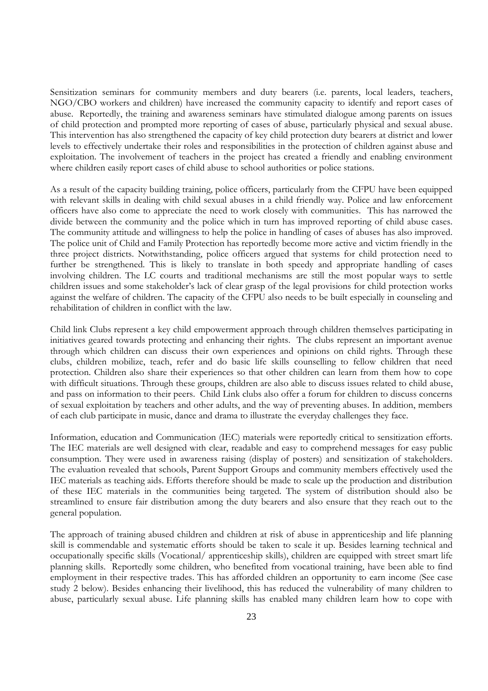Sensitization seminars for community members and duty bearers (i.e. parents, local leaders, teachers, NGO/CBO workers and children) have increased the community capacity to identify and report cases of abuse. Reportedly, the training and awareness seminars have stimulated dialogue among parents on issues of child protection and prompted more reporting of cases of abuse, particularly physical and sexual abuse. This intervention has also strengthened the capacity of key child protection duty bearers at district and lower levels to effectively undertake their roles and responsibilities in the protection of children against abuse and exploitation. The involvement of teachers in the project has created a friendly and enabling environment where children easily report cases of child abuse to school authorities or police stations.

As a result of the capacity building training, police officers, particularly from the CFPU have been equipped with relevant skills in dealing with child sexual abuses in a child friendly way. Police and law enforcement officers have also come to appreciate the need to work closely with communities. This has narrowed the divide between the community and the police which in turn has improved reporting of child abuse cases. The community attitude and willingness to help the police in handling of cases of abuses has also improved. The police unit of Child and Family Protection has reportedly become more active and victim friendly in the three project districts. Notwithstanding, police officers argued that systems for child protection need to further be strengthened. This is likely to translate in both speedy and appropriate handling of cases involving children. The LC courts and traditional mechanisms are still the most popular ways to settle children issues and some stakeholder's lack of clear grasp of the legal provisions for child protection works against the welfare of children. The capacity of the CFPU also needs to be built especially in counseling and rehabilitation of children in conflict with the law.

Child link Clubs represent a key child empowerment approach through children themselves participating in initiatives geared towards protecting and enhancing their rights. The clubs represent an important avenue through which children can discuss their own experiences and opinions on child rights. Through these clubs, children mobilize, teach, refer and do basic life skills counselling to fellow children that need protection. Children also share their experiences so that other children can learn from them how to cope with difficult situations. Through these groups, children are also able to discuss issues related to child abuse, and pass on information to their peers. Child Link clubs also offer a forum for children to discuss concerns of sexual exploitation by teachers and other adults, and the way of preventing abuses. In addition, members of each club participate in music, dance and drama to illustrate the everyday challenges they face.

Information, education and Communication (IEC) materials were reportedly critical to sensitization efforts. The IEC materials are well designed with clear, readable and easy to comprehend messages for easy public consumption. They were used in awareness raising (display of posters) and sensitization of stakeholders. The evaluation revealed that schools, Parent Support Groups and community members effectively used the IEC materials as teaching aids. Efforts therefore should be made to scale up the production and distribution of these IEC materials in the communities being targeted. The system of distribution should also be streamlined to ensure fair distribution among the duty bearers and also ensure that they reach out to the general population.

The approach of training abused children and children at risk of abuse in apprenticeship and life planning skill is commendable and systematic efforts should be taken to scale it up. Besides learning technical and occupationally specific skills (Vocational/ apprenticeship skills), children are equipped with street smart life planning skills. Reportedly some children, who benefited from vocational training, have been able to find employment in their respective trades. This has afforded children an opportunity to earn income (See case study 2 below). Besides enhancing their livelihood, this has reduced the vulnerability of many children to abuse, particularly sexual abuse. Life planning skills has enabled many children learn how to cope with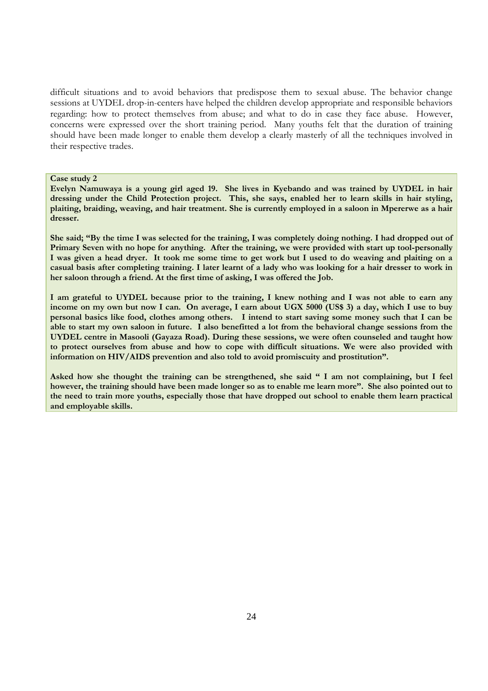difficult situations and to avoid behaviors that predispose them to sexual abuse. The behavior change sessions at UYDEL drop-in-centers have helped the children develop appropriate and responsible behaviors regarding: how to protect themselves from abuse; and what to do in case they face abuse. However, concerns were expressed over the short training period. Many youths felt that the duration of training should have been made longer to enable them develop a clearly masterly of all the techniques involved in their respective trades.

#### **Case study 2**

**Evelyn Namuwaya is a young girl aged 19. She lives in Kyebando and was trained by UYDEL in hair dressing under the Child Protection project. This, she says, enabled her to learn skills in hair styling, plaiting, braiding, weaving, and hair treatment. She is currently employed in a saloon in Mpererwe as a hair dresser.**

**She said; "By the time I was selected for the training, I was completely doing nothing. I had dropped out of Primary Seven with no hope for anything. After the training, we were provided with start up tool-personally I was given a head dryer. It took me some time to get work but I used to do weaving and plaiting on a casual basis after completing training. I later learnt of a lady who was looking for a hair dresser to work in her saloon through a friend. At the first time of asking, I was offered the Job.**

**I am grateful to UYDEL because prior to the training, I knew nothing and I was not able to earn any income on my own but now I can. On average, I earn about UGX 5000 (US\$ 3) a day, which I use to buy personal basics like food, clothes among others. I intend to start saving some money such that I can be able to start my own saloon in future. I also benefitted a lot from the behavioral change sessions from the UYDEL centre in Masooli (Gayaza Road). During these sessions, we were often counseled and taught how to protect ourselves from abuse and how to cope with difficult situations. We were also provided with information on HIV/AIDS prevention and also told to avoid promiscuity and prostitution".**

**Asked how she thought the training can be strengthened, she said " I am not complaining, but I feel however, the training should have been made longer so as to enable me learn more". She also pointed out to the need to train more youths, especially those that have dropped out school to enable them learn practical and employable skills.**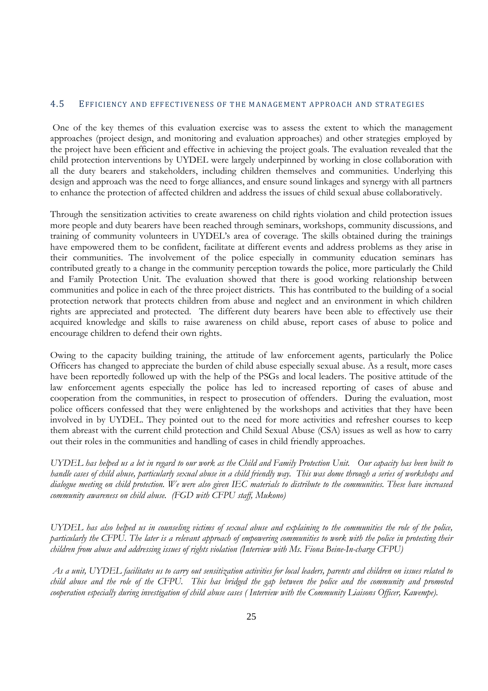### 4.5 EFFICIENCY AND EFFECTIVENESS OF THE MANAGEMENT APPROACH AND STRATEGIES

One of the key themes of this evaluation exercise was to assess the extent to which the management approaches (project design, and monitoring and evaluation approaches) and other strategies employed by the project have been efficient and effective in achieving the project goals. The evaluation revealed that the child protection interventions by UYDEL were largely underpinned by working in close collaboration with all the duty bearers and stakeholders, including children themselves and communities. Underlying this design and approach was the need to forge alliances, and ensure sound linkages and synergy with all partners to enhance the protection of affected children and address the issues of child sexual abuse collaboratively.

Through the sensitization activities to create awareness on child rights violation and child protection issues more people and duty bearers have been reached through seminars, workshops, community discussions, and training of community volunteers in UYDEL's area of coverage. The skills obtained during the trainings have empowered them to be confident, facilitate at different events and address problems as they arise in their communities. The involvement of the police especially in community education seminars has contributed greatly to a change in the community perception towards the police, more particularly the Child and Family Protection Unit. The evaluation showed that there is good working relationship between communities and police in each of the three project districts. This has contributed to the building of a social protection network that protects children from abuse and neglect and an environment in which children rights are appreciated and protected. The different duty bearers have been able to effectively use their acquired knowledge and skills to raise awareness on child abuse, report cases of abuse to police and encourage children to defend their own rights.

Owing to the capacity building training, the attitude of law enforcement agents, particularly the Police Officers has changed to appreciate the burden of child abuse especially sexual abuse. As a result, more cases have been reportedly followed up with the help of the PSGs and local leaders. The positive attitude of the law enforcement agents especially the police has led to increased reporting of cases of abuse and cooperation from the communities, in respect to prosecution of offenders. During the evaluation, most police officers confessed that they were enlightened by the workshops and activities that they have been involved in by UYDEL. They pointed out to the need for more activities and refresher courses to keep them abreast with the current child protection and Child Sexual Abuse (CSA) issues as well as how to carry out their roles in the communities and handling of cases in child friendly approaches.

*UYDEL has helped us a lot in regard to our work as the Child and Family Protection Unit. Our capacity has been built to handle cases of child abuse, particularly sexual abuse in a child friendly way. This was dome through a series of workshops and dialogue meeting on child protection. We were also given IEC materials to distribute to the communities. These have increased community awareness on child abuse. (FGD with CFPU staff, Mukono)*

*UYDEL has also helped us in counseling victims of sexual abuse and explaining to the communities the role of the police, particularly the CFPU. The later is a relevant approach of empowering communities to work with the police in protecting their children from abuse and addressing issues of rights violation (Interview with Ms. Fiona Beine-In-charge CFPU)*

*As a unit, UYDEL facilitates us to carry out sensitization activities for local leaders, parents and children on issues related to child abuse and the role of the CFPU. This has bridged the gap between the police and the community and promoted cooperation especially during investigation of child abuse cases ( Interview with the Community Liaisons Officer, Kawempe).*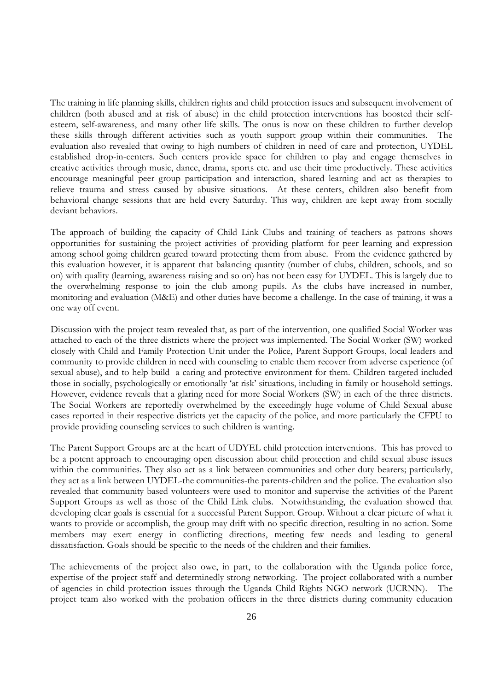The training in life planning skills, children rights and child protection issues and subsequent involvement of children (both abused and at risk of abuse) in the child protection interventions has boosted their selfesteem, self-awareness, and many other life skills. The onus is now on these children to further develop these skills through different activities such as youth support group within their communities. The evaluation also revealed that owing to high numbers of children in need of care and protection, UYDEL established drop-in-centers. Such centers provide space for children to play and engage themselves in creative activities through music, dance, drama, sports etc. and use their time productively. These activities encourage meaningful peer group participation and interaction, shared learning and act as therapies to relieve trauma and stress caused by abusive situations. At these centers, children also benefit from behavioral change sessions that are held every Saturday. This way, children are kept away from socially deviant behaviors.

The approach of building the capacity of Child Link Clubs and training of teachers as patrons shows opportunities for sustaining the project activities of providing platform for peer learning and expression among school going children geared toward protecting them from abuse. From the evidence gathered by this evaluation however, it is apparent that balancing quantity (number of clubs, children, schools, and so on) with quality (learning, awareness raising and so on) has not been easy for UYDEL. This is largely due to the overwhelming response to join the club among pupils. As the clubs have increased in number, monitoring and evaluation (M&E) and other duties have become a challenge. In the case of training, it was a one way off event.

Discussion with the project team revealed that, as part of the intervention, one qualified Social Worker was attached to each of the three districts where the project was implemented. The Social Worker (SW) worked closely with Child and Family Protection Unit under the Police, Parent Support Groups, local leaders and community to provide children in need with counseling to enable them recover from adverse experience (of sexual abuse), and to help build a caring and protective environment for them. Children targeted included those in socially, psychologically or emotionally 'at risk' situations, including in family or household settings. However, evidence reveals that a glaring need for more Social Workers (SW) in each of the three districts. The Social Workers are reportedly overwhelmed by the exceedingly huge volume of Child Sexual abuse cases reported in their respective districts yet the capacity of the police, and more particularly the CFPU to provide providing counseling services to such children is wanting.

The Parent Support Groups are at the heart of UDYEL child protection interventions. This has proved to be a potent approach to encouraging open discussion about child protection and child sexual abuse issues within the communities. They also act as a link between communities and other duty bearers; particularly, they act as a link between UYDEL-the communities-the parents-children and the police. The evaluation also revealed that community based volunteers were used to monitor and supervise the activities of the Parent Support Groups as well as those of the Child Link clubs. Notwithstanding, the evaluation showed that developing clear goals is essential for a successful Parent Support Group. Without a clear picture of what it wants to provide or accomplish, the group may drift with no specific direction, resulting in no action. Some members may exert energy in conflicting directions, meeting few needs and leading to general dissatisfaction. Goals should be specific to the needs of the children and their families.

The achievements of the project also owe, in part, to the collaboration with the Uganda police force, expertise of the project staff and determinedly strong networking. The project collaborated with a number of agencies in child protection issues through the Uganda Child Rights NGO network (UCRNN). The project team also worked with the probation officers in the three districts during community education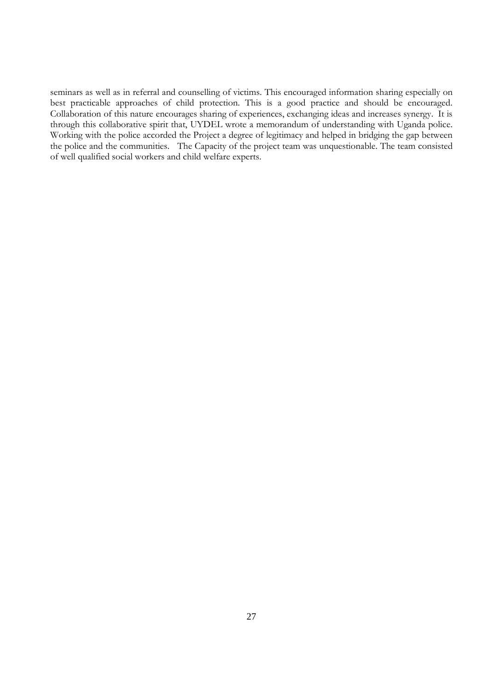seminars as well as in referral and counselling of victims. This encouraged information sharing especially on best practicable approaches of child protection. This is a good practice and should be encouraged. Collaboration of this nature encourages sharing of experiences, exchanging ideas and increases synergy. It is through this collaborative spirit that, UYDEL wrote a memorandum of understanding with Uganda police. Working with the police accorded the Project a degree of legitimacy and helped in bridging the gap between the police and the communities. The Capacity of the project team was unquestionable. The team consisted of well qualified social workers and child welfare experts.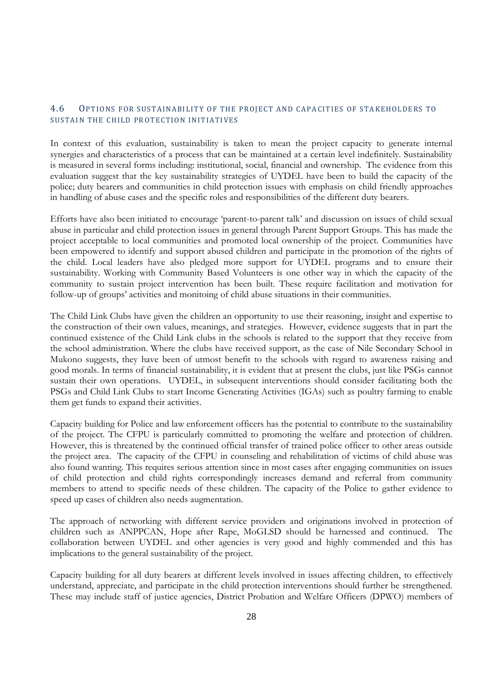## 4.6 OPTIONS FOR SUSTAINABILITY OF THE PROJECT AND CAPACITIES OF STAKEHOLDERS TO SUSTAIN THE CHILD PROTECTION INITIATIVES

In context of this evaluation, sustainability is taken to mean the project capacity to generate internal synergies and characteristics of a process that can be maintained at a certain level indefinitely. Sustainability is measured in several forms including: institutional, social, financial and ownership. The evidence from this evaluation suggest that the key sustainability strategies of UYDEL have been to build the capacity of the police; duty bearers and communities in child protection issues with emphasis on child friendly approaches in handling of abuse cases and the specific roles and responsibilities of the different duty bearers.

Efforts have also been initiated to encourage 'parent-to-parent talk' and discussion on issues of child sexual abuse in particular and child protection issues in general through Parent Support Groups. This has made the project acceptable to local communities and promoted local ownership of the project. Communities have been empowered to identify and support abused children and participate in the promotion of the rights of the child. Local leaders have also pledged more support for UYDEL programs and to ensure their sustainability. Working with Community Based Volunteers is one other way in which the capacity of the community to sustain project intervention has been built. These require facilitation and motivation for follow-up of groups' activities and monitoing of child abuse situations in their communities.

The Child Link Clubs have given the children an opportunity to use their reasoning, insight and expertise to the construction of their own values, meanings, and strategies. However, evidence suggests that in part the continued existence of the Child Link clubs in the schools is related to the support that they receive from the school administration. Where the clubs have received support, as the case of Nile Secondary School in Mukono suggests, they have been of utmost benefit to the schools with regard to awareness raising and good morals. In terms of financial sustainability, it is evident that at present the clubs, just like PSGs cannot sustain their own operations. UYDEL, in subsequent interventions should consider facilitating both the PSGs and Child Link Clubs to start Income Generating Activities (IGAs) such as poultry farming to enable them get funds to expand their activities.

Capacity building for Police and law enforcement officers has the potential to contribute to the sustainability of the project. The CFPU is particularly committed to promoting the welfare and protection of children. However, this is threatened by the continued official transfer of trained police officer to other areas outside the project area. The capacity of the CFPU in counseling and rehabilitation of victims of child abuse was also found wanting. This requires serious attention since in most cases after engaging communities on issues of child protection and child rights correspondingly increases demand and referral from community members to attend to specific needs of these children. The capacity of the Police to gather evidence to speed up cases of children also needs augmentation.

The approach of networking with different service providers and originations involved in protection of children such as ANPPCAN, Hope after Rape, MoGLSD should be harnessed and continued. The collaboration between UYDEL and other agencies is very good and highly commended and this has implications to the general sustainability of the project.

Capacity building for all duty bearers at different levels involved in issues affecting children, to effectively understand, appreciate, and participate in the child protection interventions should further be strengthened. These may include staff of justice agencies, District Probation and Welfare Officers (DPWO) members of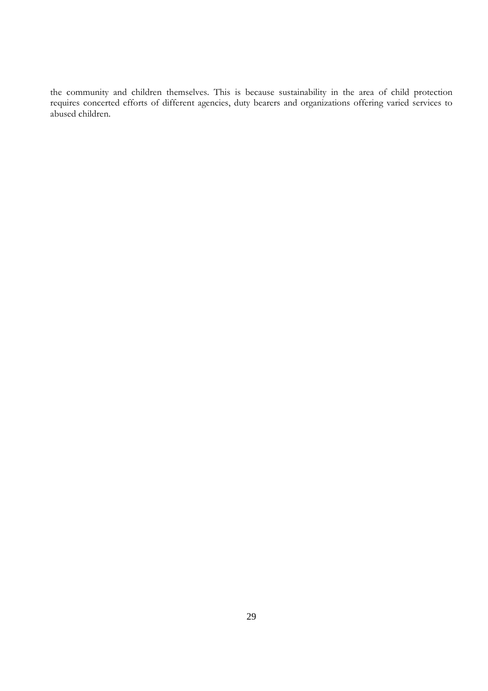the community and children themselves. This is because sustainability in the area of child protection requires concerted efforts of different agencies, duty bearers and organizations offering varied services to abused children.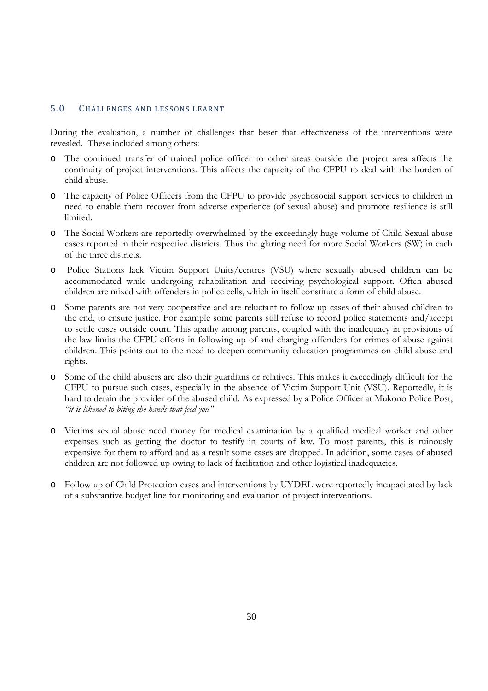#### 5.0 CHALLENGES AND LESSONS LEARNT

During the evaluation, a number of challenges that beset that effectiveness of the interventions were revealed. These included among others:

- o The continued transfer of trained police officer to other areas outside the project area affects the continuity of project interventions. This affects the capacity of the CFPU to deal with the burden of child abuse.
- o The capacity of Police Officers from the CFPU to provide psychosocial support services to children in need to enable them recover from adverse experience (of sexual abuse) and promote resilience is still limited.
- o The Social Workers are reportedly overwhelmed by the exceedingly huge volume of Child Sexual abuse cases reported in their respective districts. Thus the glaring need for more Social Workers (SW) in each of the three districts.
- o Police Stations lack Victim Support Units/centres (VSU) where sexually abused children can be accommodated while undergoing rehabilitation and receiving psychological support. Often abused children are mixed with offenders in police cells, which in itself constitute a form of child abuse.
- o Some parents are not very cooperative and are reluctant to follow up cases of their abused children to the end, to ensure justice. For example some parents still refuse to record police statements and/accept to settle cases outside court. This apathy among parents, coupled with the inadequacy in provisions of the law limits the CFPU efforts in following up of and charging offenders for crimes of abuse against children. This points out to the need to deepen community education programmes on child abuse and rights.
- o Some of the child abusers are also their guardians or relatives. This makes it exceedingly difficult for the CFPU to pursue such cases, especially in the absence of Victim Support Unit (VSU). Reportedly, it is hard to detain the provider of the abused child. As expressed by a Police Officer at Mukono Police Post, *"it is likened to biting the hands that feed you"*
- o Victims sexual abuse need money for medical examination by a qualified medical worker and other expenses such as getting the doctor to testify in courts of law. To most parents, this is ruinously expensive for them to afford and as a result some cases are dropped. In addition, some cases of abused children are not followed up owing to lack of facilitation and other logistical inadequacies.
- o Follow up of Child Protection cases and interventions by UYDEL were reportedly incapacitated by lack of a substantive budget line for monitoring and evaluation of project interventions.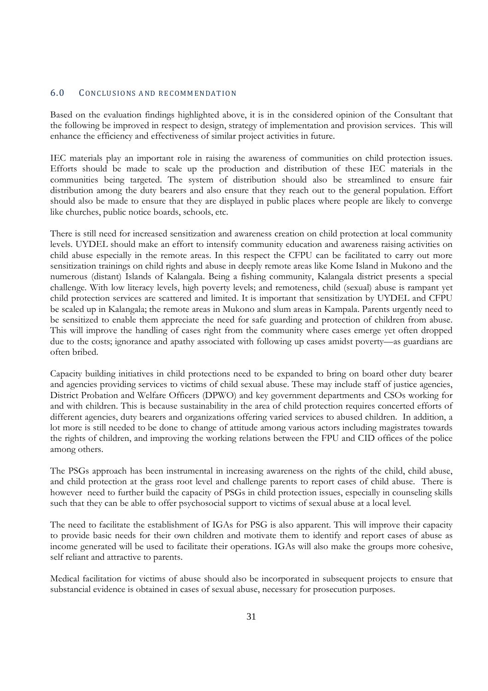### 6.0 CONCLUSIONS AND RECOMMENDATION

Based on the evaluation findings highlighted above, it is in the considered opinion of the Consultant that the following be improved in respect to design, strategy of implementation and provision services. This will enhance the efficiency and effectiveness of similar project activities in future.

IEC materials play an important role in raising the awareness of communities on child protection issues. Efforts should be made to scale up the production and distribution of these IEC materials in the communities being targeted. The system of distribution should also be streamlined to ensure fair distribution among the duty bearers and also ensure that they reach out to the general population. Effort should also be made to ensure that they are displayed in public places where people are likely to converge like churches, public notice boards, schools, etc.

There is still need for increased sensitization and awareness creation on child protection at local community levels. UYDEL should make an effort to intensify community education and awareness raising activities on child abuse especially in the remote areas. In this respect the CFPU can be facilitated to carry out more sensitization trainings on child rights and abuse in deeply remote areas like Kome Island in Mukono and the numerous (distant) Islands of Kalangala. Being a fishing community, Kalangala district presents a special challenge. With low literacy levels, high poverty levels; and remoteness, child (sexual) abuse is rampant yet child protection services are scattered and limited. It is important that sensitization by UYDEL and CFPU be scaled up in Kalangala; the remote areas in Mukono and slum areas in Kampala. Parents urgently need to be sensitized to enable them appreciate the need for safe guarding and protection of children from abuse. This will improve the handling of cases right from the community where cases emerge yet often dropped due to the costs; ignorance and apathy associated with following up cases amidst poverty—as guardians are often bribed.

Capacity building initiatives in child protections need to be expanded to bring on board other duty bearer and agencies providing services to victims of child sexual abuse. These may include staff of justice agencies, District Probation and Welfare Officers (DPWO) and key government departments and CSOs working for and with children. This is because sustainability in the area of child protection requires concerted efforts of different agencies, duty bearers and organizations offering varied services to abused children. In addition, a lot more is still needed to be done to change of attitude among various actors including magistrates towards the rights of children, and improving the working relations between the FPU and CID offices of the police among others.

The PSGs approach has been instrumental in increasing awareness on the rights of the child, child abuse, and child protection at the grass root level and challenge parents to report cases of child abuse. There is however need to further build the capacity of PSGs in child protection issues, especially in counseling skills such that they can be able to offer psychosocial support to victims of sexual abuse at a local level.

The need to facilitate the establishment of IGAs for PSG is also apparent. This will improve their capacity to provide basic needs for their own children and motivate them to identify and report cases of abuse as income generated will be used to facilitate their operations. IGAs will also make the groups more cohesive, self reliant and attractive to parents.

Medical facilitation for victims of abuse should also be incorporated in subsequent projects to ensure that substancial evidence is obtained in cases of sexual abuse, necessary for prosecution purposes.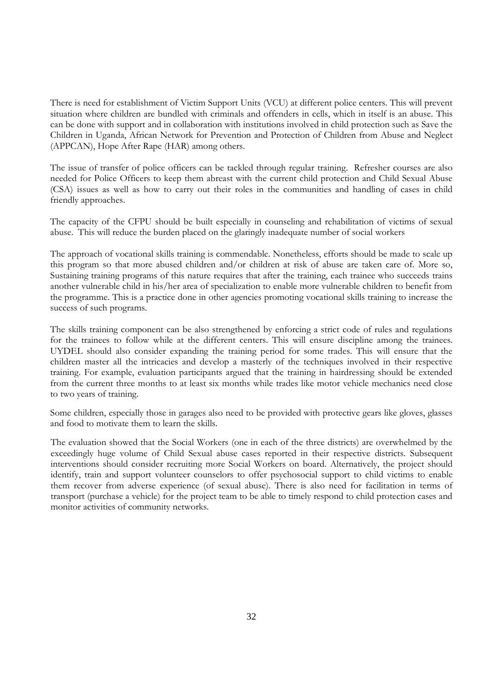There is need for establishment of Victim Support Units (VCU) at different police centers. This will prevent situation where children are bundled with criminals and offenders in cells, which in itself is an abuse. This can be done with support and in collaboration with institutions involved in child protection such as Save the Children in Uganda, African Network for Prevention and Protection of Children from Abuse and Neglect (APPCAN), Hope After Rape (HAR) among others.

The issue of transfer of police officers can be tackled through regular training. Refresher courses are also needed for Police Officers to keep them abreast with the current child protection and Child Sexual Abuse (CSA) issues as well as how to carry out their roles in the communities and handling of cases in child friendly approaches.

The capacity of the CFPU should be built especially in counseling and rehabilitation of victims of sexual abuse. This will reduce the burden placed on the glaringly inadequate number of social workers

The approach of vocational skills training is commendable. Nonetheless, efforts should be made to scale up this program so that more abused children and/or children at risk of abuse are taken care of. More so, Sustaining training programs of this nature requires that after the training, each trainee who succeeds trains another vulnerable child in his/her area of specialization to enable more vulnerable children to benefit from the programme. This is a practice done in other agencies promoting vocational skills training to increase the success of such programs.

The skills training component can be also strengthened by enforcing a strict code of rules and regulations for the trainees to follow while at the different centers. This will ensure discipline among the trainees. UYDEL should also consider expanding the training period for some trades. This will ensure that the children master all the intricacies and develop a masterly of the techniques involved in their respective training. For example, evaluation participants argued that the training in hairdressing should be extended from the current three months to at least six months while trades like motor vehicle mechanics need close to two years of training.

Some children, especially those in garages also need to be provided with protective gears like gloves, glasses and food to motivate them to learn the skills.

The evaluation showed that the Social Workers (one in each of the three districts) are overwhelmed by the exceedingly huge volume of Child Sexual abuse cases reported in their respective districts. Subsequent interventions should consider recruiting more Social Workers on board. Alternatively, the project should identify, train and support volunteer counselors to offer psychosocial support to child victims to enable them recover from adverse experience (of sexual abuse). There is also need for facilitation in terms of transport (purchase a vehicle) for the project team to be able to timely respond to child protection cases and monitor activities of community networks.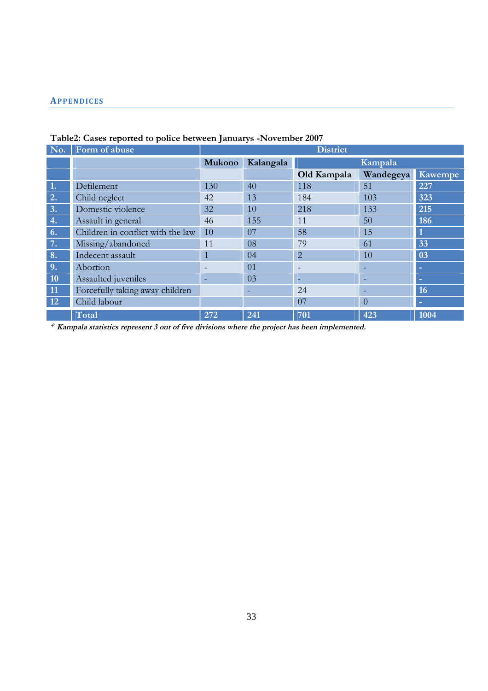### **AP PE NDIC ES**

| No.       | Form of abuse                     | <b>District</b>                |     |                          |                |         |  |
|-----------|-----------------------------------|--------------------------------|-----|--------------------------|----------------|---------|--|
|           |                                   | Mukono<br>Kalangala<br>Kampala |     |                          |                |         |  |
|           |                                   |                                |     | Old Kampala              | Wandegeya      | Kawempe |  |
| 1.        | Defilement                        | 130                            | 40  | 118                      | 51             | 227     |  |
| 2.        | Child neglect                     | 42                             | 13  | 184                      | 103            | 323     |  |
| 3.        | Domestic violence                 | 32                             | 10  | 218                      | 133            | 215     |  |
| 4.        | Assault in general                | 46                             | 155 | 11                       | 50             | 186     |  |
| 6.        | Children in conflict with the law | 10                             | 07  | 58                       | 15             |         |  |
| 7.        | Missing/abandoned                 | 11                             | 08  | 79                       | 61             | 33      |  |
| 8.        | Indecent assault                  | $\mathbf{1}$                   | 04  | $\overline{2}$           | 10             | 03      |  |
| 9.        | Abortion                          |                                | 01  | $\overline{\phantom{0}}$ |                | -       |  |
| <b>10</b> | Assaulted juveniles               | -                              | 03  | ۰                        |                | -       |  |
| 11        | Forcefully taking away children   |                                |     | 24                       |                | 16      |  |
| 12        | Child labour                      |                                |     | 07                       | $\overline{0}$ | н       |  |
|           | Total                             | 272                            | 241 | 701                      | 423            | 1004    |  |

## **Table2: Cases reported to police between Januarys -November 2007**

\* Kampala statistics represent 3 out of five divisions where the project has been implemented.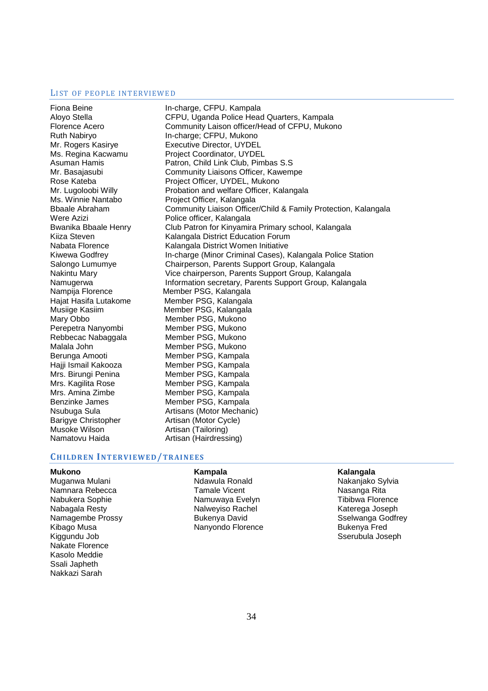#### LIST OF PEOPLE INTERVIEWED

Fiona Beine **In-charge, CFPU. Kampala** Nampija Florence Member PSG, Kalangala Mary Obbo Member PSG, Mukono Perepetra Nanyombi Member PSG, Mukono Rebbecac Nabaggala Member PSG, Mukono Malala John Member PSG, Mukono Berunga Amooti Member PSG, Kampala Hajji Ismail Kakooza Member PSG, Kampala Mrs. Birungi Penina Member PSG, Kampala Mrs. Kagilita Rose Member PSG, Kampala Mrs. Amina Zimbe Member PSG, Kampala Benzinke James Member PSG, Kampala Barigye Christopher **Artisan (Motor Cycle)**<br>Musoke Wilson **Artisan (Tailoring)** Namatovu Haida Artisan (Hairdressing)

Aloyo Stella CFPU, Uganda Police Head Quarters, Kampala Florence Acero Community Laison officer/Head of CFPU, Mukono Ruth Nabiryo **In-charge; CFPU, Mukono** Mr. Rogers Kasirye Executive Director, UYDEL Ms. Regina Kacwamu Project Coordinator, UYDEL Asuman Hamis **Patron, Child Link Club, Pimbas S.S** Mr. Basajasubi Community Liaisons Officer, Kawempe Rose Kateba **Project Officer, UYDEL, Mukono** Mr. Lugoloobi Willy Probation and welfare Officer, Kalangala Ms. Winnie Nantabo Project Officer, Kalangala Bbaale Abraham Community Liaison Officer/Child & Family Protection, Kalangala Were Azizi **National Police officer**, Kalangala Bwanika Bbaale Henry Club Patron for Kinyamira Primary school, Kalangala Kiiza Steven Kalangala District Education Forum Nabata Florence Kalangala District Women Initiative Kiwewa Godfrey **In-charge (Minor Criminal Cases), Kalangala Police Station** Salongo Lumumye Chairperson, Parents Support Group, Kalangala Nakintu Mary Vice chairperson, Parents Support Group, Kalangala Namugerwa **Information secretary, Parents Support Group, Kalangala** Hajat Hasifa Lutakome Member PSG, Kalangala Musiige Kasiim Member PSG, Kalangala Nsubuga Sula **Artisans (Motor Mechanic)** Artisan (Tailoring)

#### **CH ILDR EN INT ER VI EWE D/TR AI NE ES**

#### **Mukono**

Muganwa Mulani Namnara Rebecca Nabukera Sophie Nabagala Resty Namagembe Prossy Kibago Musa Kiggundu Job Nakate Florence Kasolo Meddie Ssali Japheth Nakkazi Sarah

#### **Kampala**

Ndawula Ronald Tamale Vicent Namuwaya Evelyn Nalweyiso Rachel Bukenya David Nanyondo Florence

#### **Kalangala**

Nakanjako Sylvia Nasanga Rita Tibibwa Florence Katerega Joseph Sselwanga Godfrey Bukenya Fred Sserubula Joseph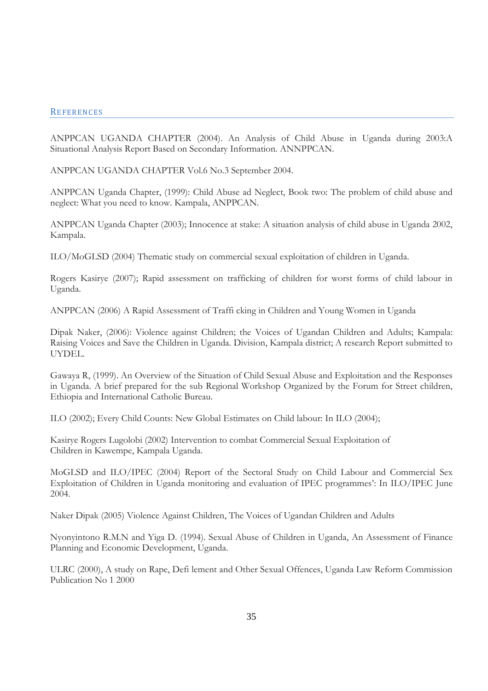#### **REFERENCES**

ANPPCAN UGANDA CHAPTER (2004). An Analysis of Child Abuse in Uganda during 2003:A Situational Analysis Report Based on Secondary Information. ANNPPCAN.

ANPPCAN UGANDA CHAPTER Vol.6 No.3 September 2004.

ANPPCAN Uganda Chapter, (1999): Child Abuse ad Neglect, Book two: The problem of child abuse and neglect: What you need to know. Kampala, ANPPCAN.

ANPPCAN Uganda Chapter (2003); Innocence at stake: A situation analysis of child abuse in Uganda 2002, Kampala.

ILO/MoGLSD (2004) Thematic study on commercial sexual exploitation of children in Uganda.

Rogers Kasirye (2007); Rapid assessment on trafficking of children for worst forms of child labour in Uganda.

ANPPCAN (2006) A Rapid Assessment of Traffi cking in Children and Young Women in Uganda

Dipak Naker, (2006): Violence against Children; the Voices of Ugandan Children and Adults; Kampala: Raising Voices and Save the Children in Uganda. Division, Kampala district; A research Report submitted to UYDEL.

Gawaya R, (1999). An Overview of the Situation of Child Sexual Abuse and Exploitation and the Responses in Uganda. A brief prepared for the sub Regional Workshop Organized by the Forum for Street children, Ethiopia and International Catholic Bureau.

ILO (2002); Every Child Counts: New Global Estimates on Child labour: In ILO (2004);

Kasirye Rogers Lugolobi (2002) Intervention to combat Commercial Sexual Exploitation of Children in Kawempe, Kampala Uganda.

MoGLSD and ILO/IPEC (2004) Report of the Sectoral Study on Child Labour and Commercial Sex Exploitation of Children in Uganda monitoring and evaluation of IPEC programmes': In ILO/IPEC June 2004.

Naker Dipak (2005) Violence Against Children, The Voices of Ugandan Children and Adults

Nyonyintono R.M.N and Yiga D. (1994). Sexual Abuse of Children in Uganda, An Assessment of Finance Planning and Economic Development, Uganda.

ULRC (2000), A study on Rape, Defi lement and Other Sexual Offences, Uganda Law Reform Commission Publication No 1 2000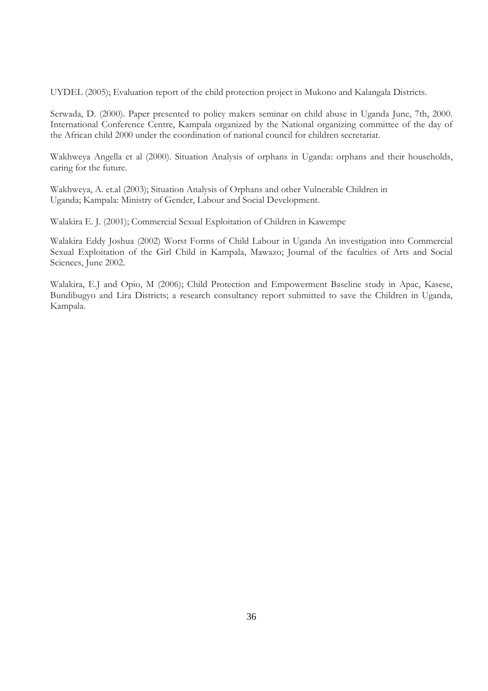UYDEL (2005); Evaluation report of the child protection project in Mukono and Kalangala Districts.

Serwada, D. (2000). Paper presented to policy makers seminar on child abuse in Uganda June, 7th, 2000. International Conference Centre, Kampala organized by the National organizing committee of the day of the African child 2000 under the coordination of national council for children secretariat.

Wakhweya Angella et al (2000). Situation Analysis of orphans in Uganda: orphans and their households, caring for the future.

Wakhweya, A. et.al (2003); Situation Analysis of Orphans and other Vulnerable Children in Uganda; Kampala: Ministry of Gender, Labour and Social Development.

Walakira E. J. (2001); Commercial Sexual Exploitation of Children in Kawempe

Walakira Eddy Joshua (2002) Worst Forms of Child Labour in Uganda An investigation into Commercial Sexual Exploitation of the Girl Child in Kampala, Mawazo; Journal of the faculties of Arts and Social Sciences, June 2002.

Walakira, E.J and Opio, M (2006); Child Protection and Empowerment Baseline study in Apac, Kasese, Bundibugyo and Lira Districts; a research consultancy report submitted to save the Children in Uganda, Kampala.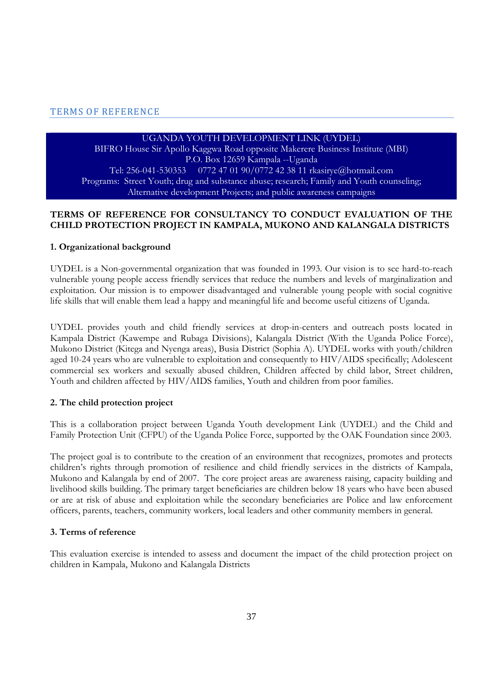#### TERMS OF REFERENCE

#### UGANDA YOUTH DEVELOPMENT LINK (UYDEL)

BIFRO House Sir Apollo Kaggwa Road opposite Makerere Business Institute (MBI) P.O. Box 12659 Kampala --Uganda Tel: 256-041-530353 0772 47 01 90/0772 42 38 11 rkasirye@hotmail.com Programs: Street Youth; drug and substance abuse; research; Family and Youth counseling; Alternative development Projects; and public awareness campaigns

### **TERMS OF REFERENCE FOR CONSULTANCY TO CONDUCT EVALUATION OF THE CHILD PROTECTION PROJECT IN KAMPALA, MUKONO AND KALANGALA DISTRICTS**

#### **1. Organizational background**

UYDEL is a Non-governmental organization that was founded in 1993. Our vision is to see hard-to-reach vulnerable young people access friendly services that reduce the numbers and levels of marginalization and exploitation. Our mission is to empower disadvantaged and vulnerable young people with social cognitive life skills that will enable them lead a happy and meaningful life and become useful citizens of Uganda.

UYDEL provides youth and child friendly services at drop-in-centers and outreach posts located in Kampala District (Kawempe and Rubaga Divisions), Kalangala District (With the Uganda Police Force), Mukono District (Kitega and Nyenga areas), Busia District (Sophia A). UYDEL works with youth/children aged 10-24 years who are vulnerable to exploitation and consequently to HIV/AIDS specifically; Adolescent commercial sex workers and sexually abused children, Children affected by child labor, Street children, Youth and children affected by HIV/AIDS families, Youth and children from poor families.

#### **2. The child protection project**

This is a collaboration project between Uganda Youth development Link (UYDEL) and the Child and Family Protection Unit (CFPU) of the Uganda Police Force, supported by the OAK Foundation since 2003.

The project goal is to contribute to the creation of an environment that recognizes, promotes and protects children's rights through promotion of resilience and child friendly services in the districts of Kampala, Mukono and Kalangala by end of 2007. The core project areas are awareness raising, capacity building and livelihood skills building. The primary target beneficiaries are children below 18 years who have been abused or are at risk of abuse and exploitation while the secondary beneficiaries are Police and law enforcement officers, parents, teachers, community workers, local leaders and other community members in general.

#### **3. Terms of reference**

This evaluation exercise is intended to assess and document the impact of the child protection project on children in Kampala, Mukono and Kalangala Districts